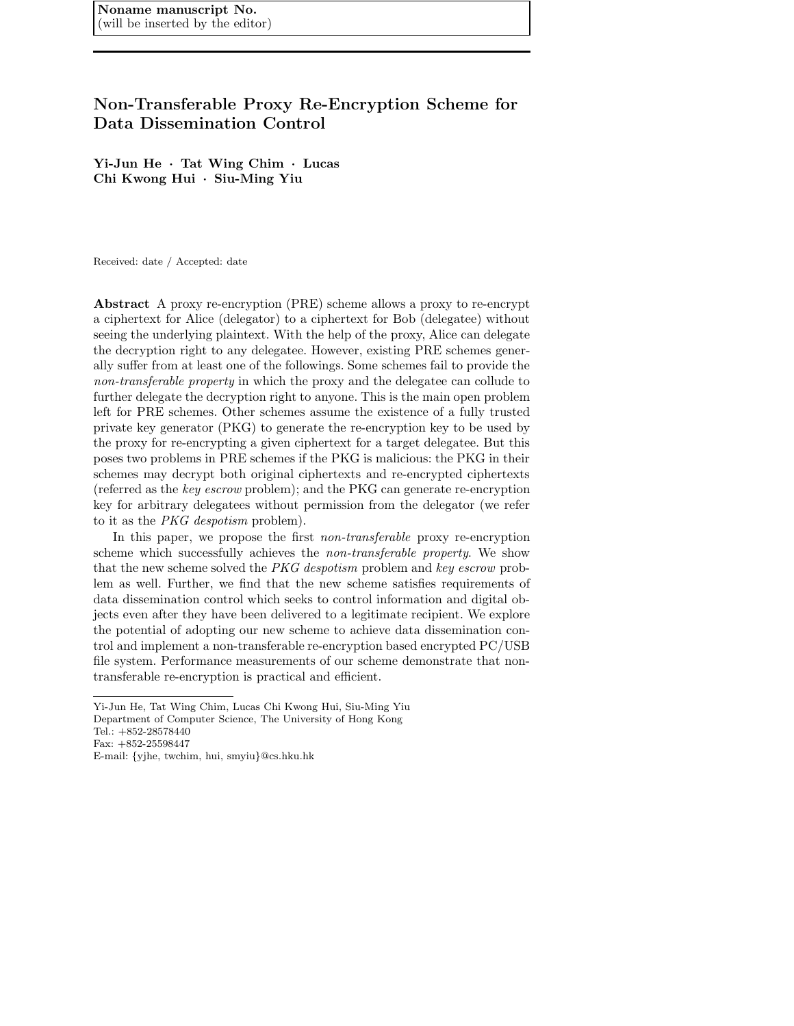# **Non-Transferable Proxy Re-Encryption Scheme for Data Dissemination Control**

**Yi-Jun He** *·* **Tat Wing Chim** *·* **Lucas Chi Kwong Hui** *·* **Siu-Ming Yiu**

Received: date / Accepted: date

**Abstract** A proxy re-encryption (PRE) scheme allows a proxy to re-encrypt a ciphertext for Alice (delegator) to a ciphertext for Bob (delegatee) without seeing the underlying plaintext. With the help of the proxy, Alice can delegate the decryption right to any delegatee. However, existing PRE schemes generally suffer from at least one of the followings. Some schemes fail to provide the *non-transferable property* in which the proxy and the delegatee can collude to further delegate the decryption right to anyone. This is the main open problem left for PRE schemes. Other schemes assume the existence of a fully trusted private key generator (PKG) to generate the re-encryption key to be used by the proxy for re-encrypting a given ciphertext for a target delegatee. But this poses two problems in PRE schemes if the PKG is malicious: the PKG in their schemes may decrypt both original ciphertexts and re-encrypted ciphertexts (referred as the *key escrow* problem); and the PKG can generate re-encryption key for arbitrary delegatees without permission from the delegator (we refer to it as the *PKG despotism* problem).

In this paper, we propose the first *non-transferable* proxy re-encryption scheme which successfully achieves the *non-transferable property*. We show that the new scheme solved the *PKG despotism* problem and *key escrow* problem as well. Further, we find that the new scheme satisfies requirements of data dissemination control which seeks to control information and digital objects even after they have been delivered to a legitimate recipient. We explore the potential of adopting our new scheme to achieve data dissemination control and implement a non-transferable re-encryption based encrypted PC/USB file system. Performance measurements of our scheme demonstrate that nontransferable re-encryption is practical and efficient.

Yi-Jun He, Tat Wing Chim, Lucas Chi Kwong Hui, Siu-Ming Yiu Department of Computer Science, The University of Hong Kong

Tel.: +852-28578440

Fax: +852-25598447

E-mail: {yjhe, twchim, hui, smyiu}@cs.hku.hk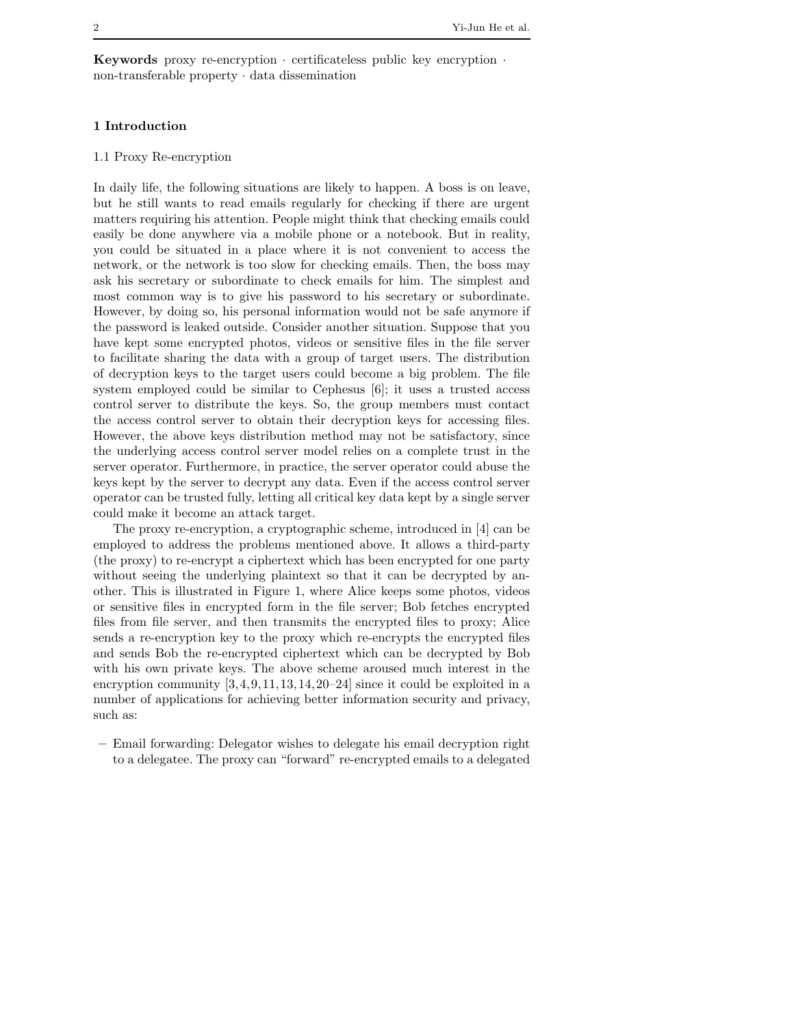**Keywords** proxy re-encryption · certificateless public key encryption · non-transferable property · data dissemination

## **1 Introduction**

## 1.1 Proxy Re-encryption

In daily life, the following situations are likely to happen. A boss is on leave, but he still wants to read emails regularly for checking if there are urgent matters requiring his attention. People might think that checking emails could easily be done anywhere via a mobile phone or a notebook. But in reality, you could be situated in a place where it is not convenient to access the network, or the network is too slow for checking emails. Then, the boss may ask his secretary or subordinate to check emails for him. The simplest and most common way is to give his password to his secretary or subordinate. However, by doing so, his personal information would not be safe anymore if the password is leaked outside. Consider another situation. Suppose that you have kept some encrypted photos, videos or sensitive files in the file server to facilitate sharing the data with a group of target users. The distribution of decryption keys to the target users could become a big problem. The file system employed could be similar to Cephesus [6]; it uses a trusted access control server to distribute the keys. So, the group members must contact the access control server to obtain their decryption keys for accessing files. However, the above keys distribution method may not be satisfactory, since the underlying access control server model relies on a complete trust in the server operator. Furthermore, in practice, the server operator could abuse the keys kept by the server to decrypt any data. Even if the access control server operator can be trusted fully, letting all critical key data kept by a single server could make it become an attack target.

The proxy re-encryption, a cryptographic scheme, introduced in [4] can be employed to address the problems mentioned above. It allows a third-party (the proxy) to re-encrypt a ciphertext which has been encrypted for one party without seeing the underlying plaintext so that it can be decrypted by another. This is illustrated in Figure 1, where Alice keeps some photos, videos or sensitive files in encrypted form in the file server; Bob fetches encrypted files from file server, and then transmits the encrypted files to proxy; Alice sends a re-encryption key to the proxy which re-encrypts the encrypted files and sends Bob the re-encrypted ciphertext which can be decrypted by Bob with his own private keys. The above scheme aroused much interest in the encryption community [3,4,9,11,13,14,20–24] since it could be exploited in a number of applications for achieving better information security and privacy, such as:

**–** Email forwarding: Delegator wishes to delegate his email decryption right to a delegatee. The proxy can "forward" re-encrypted emails to a delegated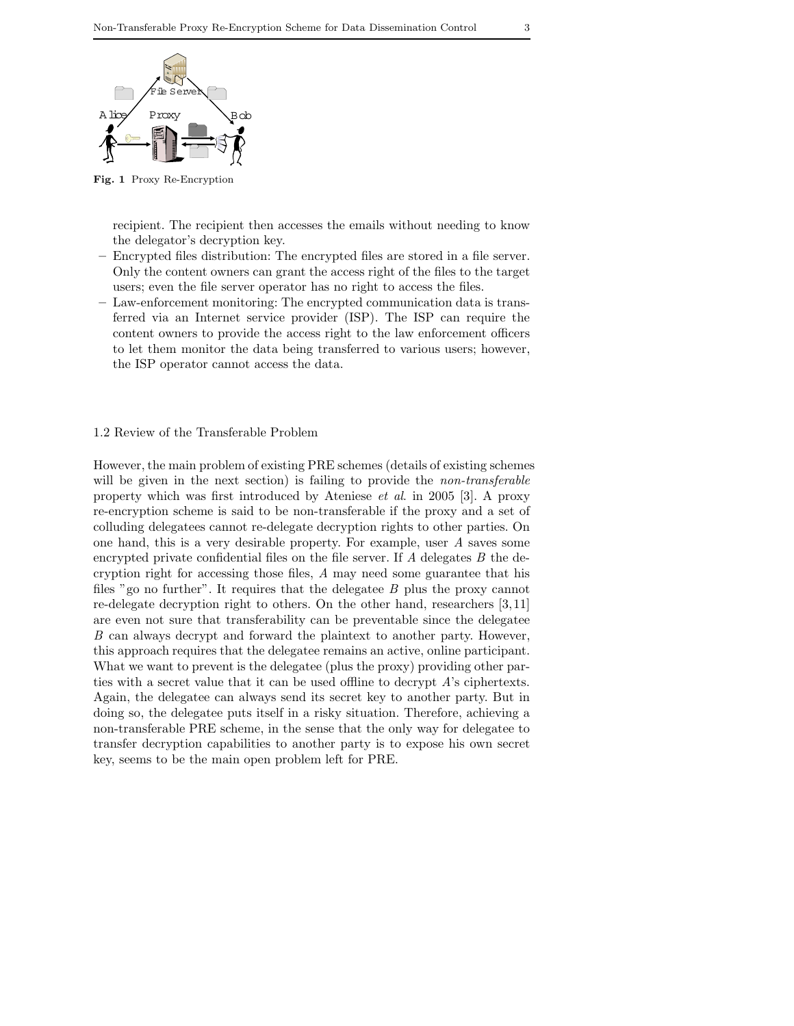

**Fig. 1** Proxy Re-Encryption

recipient. The recipient then accesses the emails without needing to know the delegator's decryption key.

- **–** Encrypted files distribution: The encrypted files are stored in a file server. Only the content owners can grant the access right of the files to the target users; even the file server operator has no right to access the files.
- **–** Law-enforcement monitoring: The encrypted communication data is transferred via an Internet service provider (ISP). The ISP can require the content owners to provide the access right to the law enforcement officers to let them monitor the data being transferred to various users; however, the ISP operator cannot access the data.

## 1.2 Review of the Transferable Problem

However, the main problem of existing PRE schemes (details of existing schemes will be given in the next section) is failing to provide the *non-transferable* property which was first introduced by Ateniese *et al*. in 2005 [3]. A proxy re-encryption scheme is said to be non-transferable if the proxy and a set of colluding delegatees cannot re-delegate decryption rights to other parties. On one hand, this is a very desirable property. For example, user *A* saves some encrypted private confidential files on the file server. If *A* delegates *B* the decryption right for accessing those files, *A* may need some guarantee that his files "go no further". It requires that the delegatee *B* plus the proxy cannot re-delegate decryption right to others. On the other hand, researchers [3,11] are even not sure that transferability can be preventable since the delegatee *B* can always decrypt and forward the plaintext to another party. However, this approach requires that the delegatee remains an active, online participant. What we want to prevent is the delegatee (plus the proxy) providing other parties with a secret value that it can be used offline to decrypt *A*'s ciphertexts. Again, the delegatee can always send its secret key to another party. But in doing so, the delegatee puts itself in a risky situation. Therefore, achieving a non-transferable PRE scheme, in the sense that the only way for delegatee to transfer decryption capabilities to another party is to expose his own secret key, seems to be the main open problem left for PRE.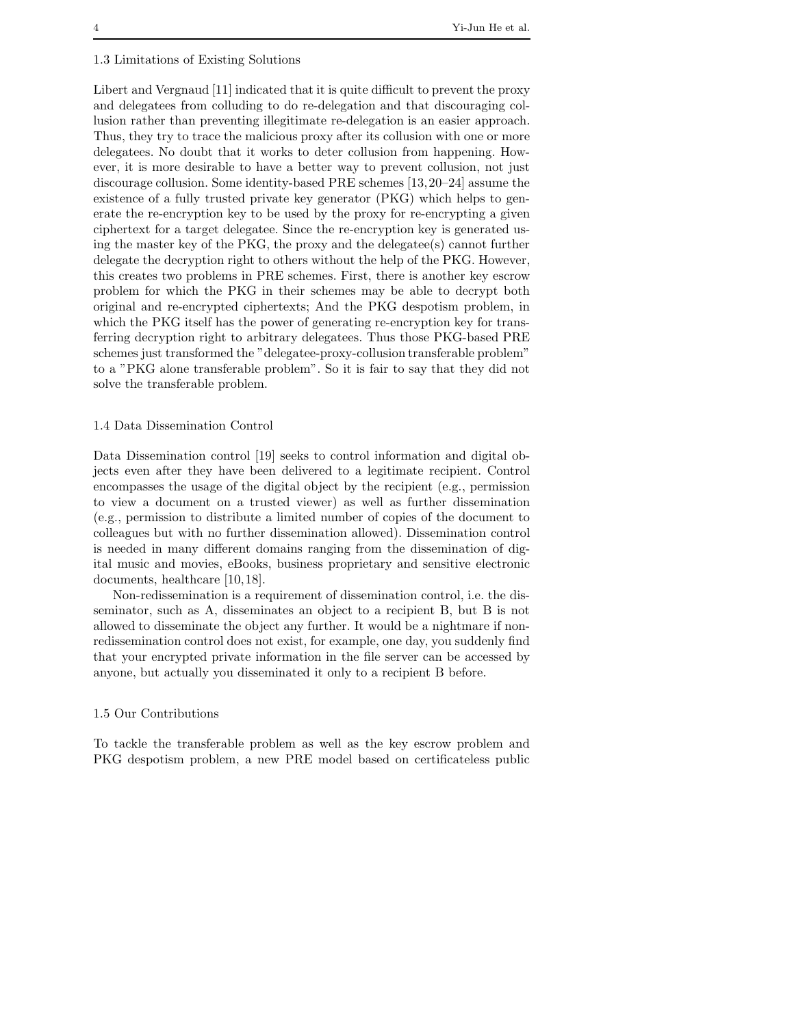#### 1.3 Limitations of Existing Solutions

Libert and Vergnaud [11] indicated that it is quite difficult to prevent the proxy and delegatees from colluding to do re-delegation and that discouraging collusion rather than preventing illegitimate re-delegation is an easier approach. Thus, they try to trace the malicious proxy after its collusion with one or more delegatees. No doubt that it works to deter collusion from happening. However, it is more desirable to have a better way to prevent collusion, not just discourage collusion. Some identity-based PRE schemes [13,20–24] assume the existence of a fully trusted private key generator (PKG) which helps to generate the re-encryption key to be used by the proxy for re-encrypting a given ciphertext for a target delegatee. Since the re-encryption key is generated using the master key of the PKG, the proxy and the delegatee(s) cannot further delegate the decryption right to others without the help of the PKG. However, this creates two problems in PRE schemes. First, there is another key escrow problem for which the PKG in their schemes may be able to decrypt both original and re-encrypted ciphertexts; And the PKG despotism problem, in which the PKG itself has the power of generating re-encryption key for transferring decryption right to arbitrary delegatees. Thus those PKG-based PRE schemes just transformed the "delegatee-proxy-collusion transferable problem" to a "PKG alone transferable problem". So it is fair to say that they did not solve the transferable problem.

## 1.4 Data Dissemination Control

Data Dissemination control [19] seeks to control information and digital objects even after they have been delivered to a legitimate recipient. Control encompasses the usage of the digital object by the recipient (e.g., permission to view a document on a trusted viewer) as well as further dissemination (e.g., permission to distribute a limited number of copies of the document to colleagues but with no further dissemination allowed). Dissemination control is needed in many different domains ranging from the dissemination of digital music and movies, eBooks, business proprietary and sensitive electronic documents, healthcare [10,18].

Non-redissemination is a requirement of dissemination control, i.e. the disseminator, such as A, disseminates an object to a recipient B, but B is not allowed to disseminate the object any further. It would be a nightmare if nonredissemination control does not exist, for example, one day, you suddenly find that your encrypted private information in the file server can be accessed by anyone, but actually you disseminated it only to a recipient B before.

#### 1.5 Our Contributions

To tackle the transferable problem as well as the key escrow problem and PKG despotism problem, a new PRE model based on certificateless public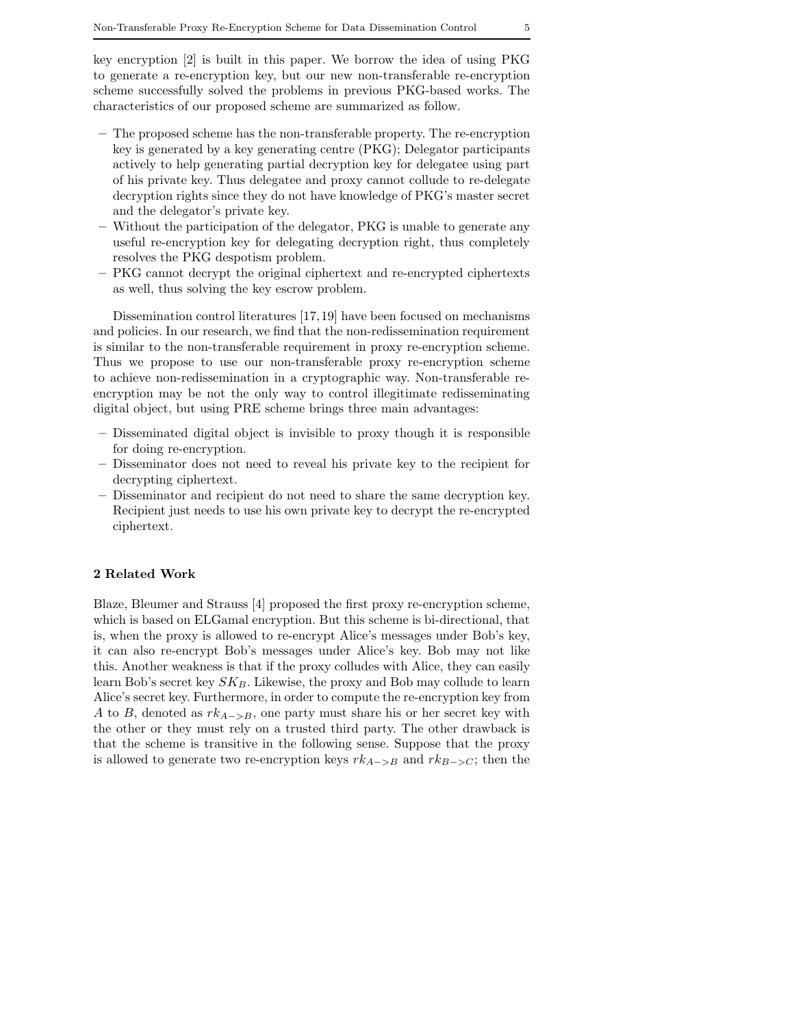key encryption [2] is built in this paper. We borrow the idea of using PKG to generate a re-encryption key, but our new non-transferable re-encryption scheme successfully solved the problems in previous PKG-based works. The characteristics of our proposed scheme are summarized as follow.

- **–** The proposed scheme has the non-transferable property. The re-encryption key is generated by a key generating centre (PKG); Delegator participants actively to help generating partial decryption key for delegatee using part of his private key. Thus delegatee and proxy cannot collude to re-delegate decryption rights since they do not have knowledge of PKG's master secret and the delegator's private key.
- **–** Without the participation of the delegator, PKG is unable to generate any useful re-encryption key for delegating decryption right, thus completely resolves the PKG despotism problem.
- **–** PKG cannot decrypt the original ciphertext and re-encrypted ciphertexts as well, thus solving the key escrow problem.

Dissemination control literatures [17,19] have been focused on mechanisms and policies. In our research, we find that the non-redissemination requirement is similar to the non-transferable requirement in proxy re-encryption scheme. Thus we propose to use our non-transferable proxy re-encryption scheme to achieve non-redissemination in a cryptographic way. Non-transferable reencryption may be not the only way to control illegitimate redisseminating digital object, but using PRE scheme brings three main advantages:

- **–** Disseminated digital object is invisible to proxy though it is responsible for doing re-encryption.
- **–** Disseminator does not need to reveal his private key to the recipient for decrypting ciphertext.
- **–** Disseminator and recipient do not need to share the same decryption key. Recipient just needs to use his own private key to decrypt the re-encrypted ciphertext.

## **2 Related Work**

Blaze, Bleumer and Strauss [4] proposed the first proxy re-encryption scheme, which is based on ELGamal encryption. But this scheme is bi-directional, that is, when the proxy is allowed to re-encrypt Alice's messages under Bob's key, it can also re-encrypt Bob's messages under Alice's key. Bob may not like this. Another weakness is that if the proxy colludes with Alice, they can easily learn Bob's secret key  $SK_B$ . Likewise, the proxy and Bob may collude to learn Alice's secret key. Furthermore, in order to compute the re-encryption key from A to B, denoted as  $rk_{A->B}$ , one party must share his or her secret key with the other or they must rely on a trusted third party. The other drawback is that the scheme is transitive in the following sense. Suppose that the proxy is allowed to generate two re-encryption keys  $rk_{A->B}$  and  $rk_{B->C}$ ; then the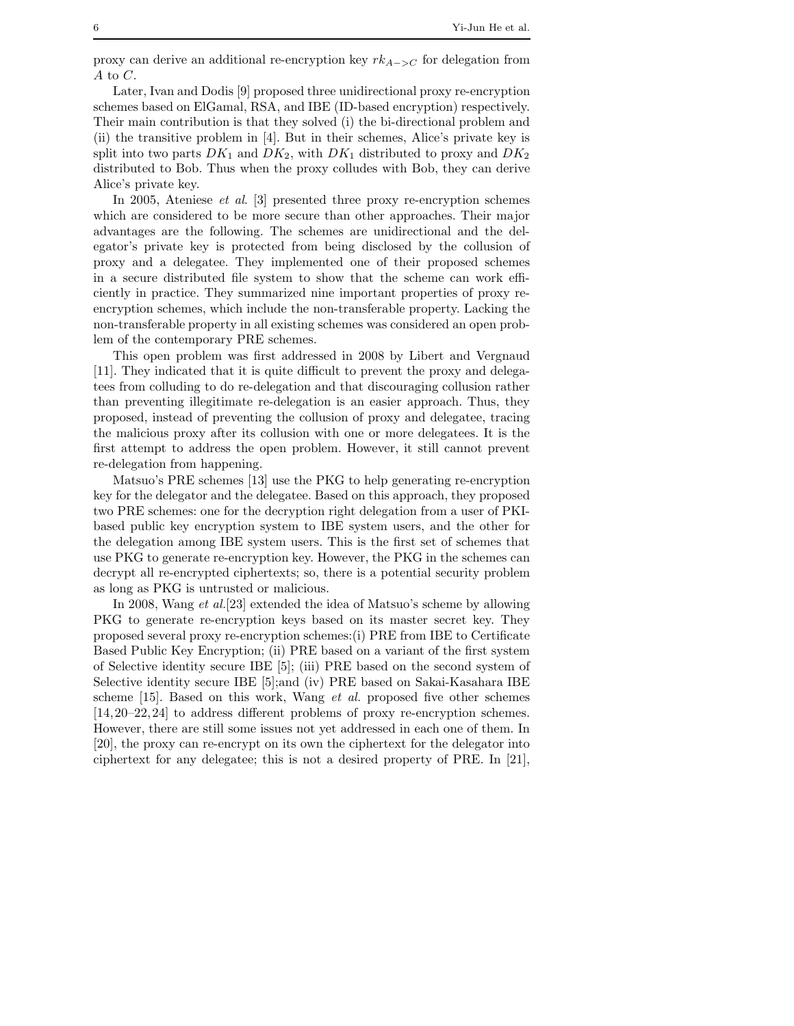proxy can derive an additional re-encryption key  $rk_{A->C}$  for delegation from A to  $C$ .

Later, Ivan and Dodis [9] proposed three unidirectional proxy re-encryption schemes based on ElGamal, RSA, and IBE (ID-based encryption) respectively. Their main contribution is that they solved (i) the bi-directional problem and (ii) the transitive problem in [4]. But in their schemes, Alice's private key is split into two parts  $DK_1$  and  $DK_2$ , with  $DK_1$  distributed to proxy and  $DK_2$ distributed to Bob. Thus when the proxy colludes with Bob, they can derive Alice's private key.

In 2005, Ateniese *et al*. [3] presented three proxy re-encryption schemes which are considered to be more secure than other approaches. Their major advantages are the following. The schemes are unidirectional and the delegator's private key is protected from being disclosed by the collusion of proxy and a delegatee. They implemented one of their proposed schemes in a secure distributed file system to show that the scheme can work efficiently in practice. They summarized nine important properties of proxy reencryption schemes, which include the non-transferable property. Lacking the non-transferable property in all existing schemes was considered an open problem of the contemporary PRE schemes.

This open problem was first addressed in 2008 by Libert and Vergnaud [11]. They indicated that it is quite difficult to prevent the proxy and delegatees from colluding to do re-delegation and that discouraging collusion rather than preventing illegitimate re-delegation is an easier approach. Thus, they proposed, instead of preventing the collusion of proxy and delegatee, tracing the malicious proxy after its collusion with one or more delegatees. It is the first attempt to address the open problem. However, it still cannot prevent re-delegation from happening.

Matsuo's PRE schemes [13] use the PKG to help generating re-encryption key for the delegator and the delegatee. Based on this approach, they proposed two PRE schemes: one for the decryption right delegation from a user of PKIbased public key encryption system to IBE system users, and the other for the delegation among IBE system users. This is the first set of schemes that use PKG to generate re-encryption key. However, the PKG in the schemes can decrypt all re-encrypted ciphertexts; so, there is a potential security problem as long as PKG is untrusted or malicious.

In 2008, Wang *et al.*[23] extended the idea of Matsuo's scheme by allowing PKG to generate re-encryption keys based on its master secret key. They proposed several proxy re-encryption schemes:(i) PRE from IBE to Certificate Based Public Key Encryption; (ii) PRE based on a variant of the first system of Selective identity secure IBE [5]; (iii) PRE based on the second system of Selective identity secure IBE [5];and (iv) PRE based on Sakai-Kasahara IBE scheme [15]. Based on this work, Wang *et al.* proposed five other schemes [14,20–22,24] to address different problems of proxy re-encryption schemes. However, there are still some issues not yet addressed in each one of them. In [20], the proxy can re-encrypt on its own the ciphertext for the delegator into ciphertext for any delegatee; this is not a desired property of PRE. In [21],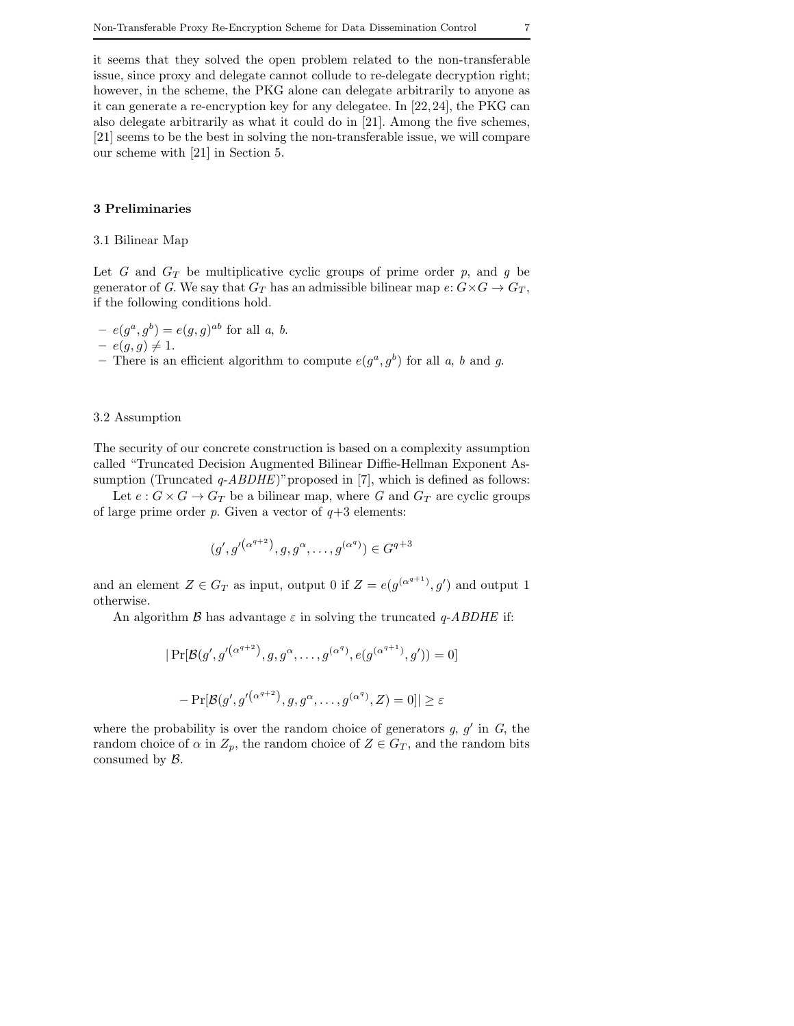it seems that they solved the open problem related to the non-transferable issue, since proxy and delegate cannot collude to re-delegate decryption right; however, in the scheme, the PKG alone can delegate arbitrarily to anyone as it can generate a re-encryption key for any delegatee. In [22,24], the PKG can also delegate arbitrarily as what it could do in [21]. Among the five schemes, [21] seems to be the best in solving the non-transferable issue, we will compare our scheme with [21] in Section 5.

## **3 Preliminaries**

## 3.1 Bilinear Map

Let *G* and  $G_T$  be multiplicative cyclic groups of prime order *p*, and *g* be generator of *G*. We say that  $G_T$  has an admissible bilinear map  $e: G \times G \to G_T$ , if the following conditions hold.

$$
-e(g^a, g^b) = e(g, g)^{ab}
$$
 for all a, b.

$$
- e(g, g) \neq 1.
$$

– There is an efficient algorithm to compute  $e(g^a, g^b)$  for all *a*, *b* and *g*.

## 3.2 Assumption

The security of our concrete construction is based on a complexity assumption called "Truncated Decision Augmented Bilinear Diffie-Hellman Exponent Assumption (Truncated *q-ABDHE*)" proposed in [7], which is defined as follows:

Let  $e: G \times G \to G_T$  be a bilinear map, where G and  $G_T$  are cyclic groups of large prime order  $p$ . Given a vector of  $q+3$  elements:

$$
(g', g'^{(\alpha^{q+2})}, g, g^{\alpha}, \dots, g^{(\alpha^q)}) \in G^{q+3}
$$

and an element  $Z \in G_T$  as input, output 0 if  $Z = e(g^{(\alpha^{q+1})}, g')$  and output 1 otherwise.

An algorithm  $\beta$  has advantage  $\varepsilon$  in solving the truncated *q-ABDHE* if:

$$
|\Pr[\mathcal{B}(g', g'^{(\alpha^{q+2})}, g, g^{\alpha}, \dots, g^{(\alpha^q)}, e(g^{(\alpha^{q+1})}, g')) = 0]
$$
  
- 
$$
|\Pr[\mathcal{B}(g', g'^{(\alpha^{q+2})}, g, g^{\alpha}, \dots, g^{(\alpha^q)}, Z) = 0]| \ge \varepsilon
$$

where the probability is over the random choice of generators  $g, g'$  in  $G$ , the random choice of  $\alpha$  in  $Z_p$ , the random choice of  $Z \in G_T$ , and the random bits consumed by  $\mathcal{B}$ .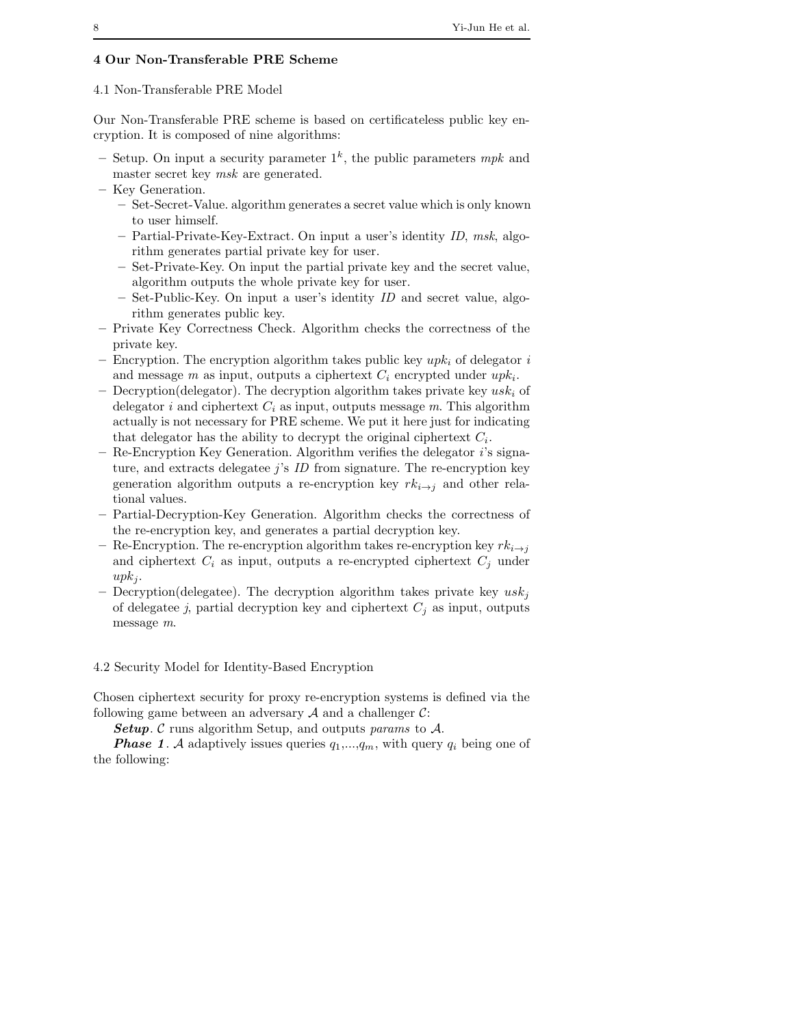## **4 Our Non-Transferable PRE Scheme**

# 4.1 Non-Transferable PRE Model

Our Non-Transferable PRE scheme is based on certificateless public key encryption. It is composed of nine algorithms:

- $-$  Setup. On input a security parameter  $1<sup>k</sup>$ , the public parameters *mpk* and master secret key *msk* are generated.
- **–** Key Generation.
	- **–** Set-Secret-Value. algorithm generates a secret value which is only known to user himself.
	- **–** Partial-Private-Key-Extract. On input a user's identity *ID*, *msk*, algorithm generates partial private key for user.
	- **–** Set-Private-Key. On input the partial private key and the secret value, algorithm outputs the whole private key for user.
	- **–** Set-Public-Key. On input a user's identity *ID* and secret value, algorithm generates public key.
- **–** Private Key Correctness Check. Algorithm checks the correctness of the private key.
- $-$  Encryption. The encryption algorithm takes public key  $upk_i$  of delegator  $i$ and message *m* as input, outputs a ciphertext  $C_i$  encrypted under  $upk_i$ .
- $-$  Decryption(delegator). The decryption algorithm takes private key  $usk<sub>i</sub>$  of delegator *i* and ciphertext  $C_i$  as input, outputs message  $m$ . This algorithm actually is not necessary for PRE scheme. We put it here just for indicating that delegator has the ability to decrypt the original ciphertext  $C_i$ .
- **–** Re-Encryption Key Generation. Algorithm verifies the delegator *i*'s signature, and extracts delegatee *j*'s *ID* from signature. The re-encryption key generation algorithm outputs a re-encryption key  $rk_{i\rightarrow j}$  and other relational values.
- **–** Partial-Decryption-Key Generation. Algorithm checks the correctness of the re-encryption key, and generates a partial decryption key.
- Re-Encryption. The re-encryption algorithm takes re-encryption key  $rk_{i\to j}$ and ciphertext  $C_i$  as input, outputs a re-encrypted ciphertext  $C_j$  under  $upk_i$ .
- Decryption(delegatee). The decryption algorithm takes private key  $usk<sub>i</sub>$ of delegatee *j*, partial decryption key and ciphertext  $C_j$  as input, outputs message *m*.

4.2 Security Model for Identity-Based Encryption

Chosen ciphertext security for proxy re-encryption systems is defined via the following game between an adversary  $A$  and a challenger  $C$ :

*Setup*. C runs algorithm Setup, and outputs *params* to A.

**Phase 1.** A adaptively issues queries  $q_1,...,q_m$ , with query  $q_i$  being one of the following: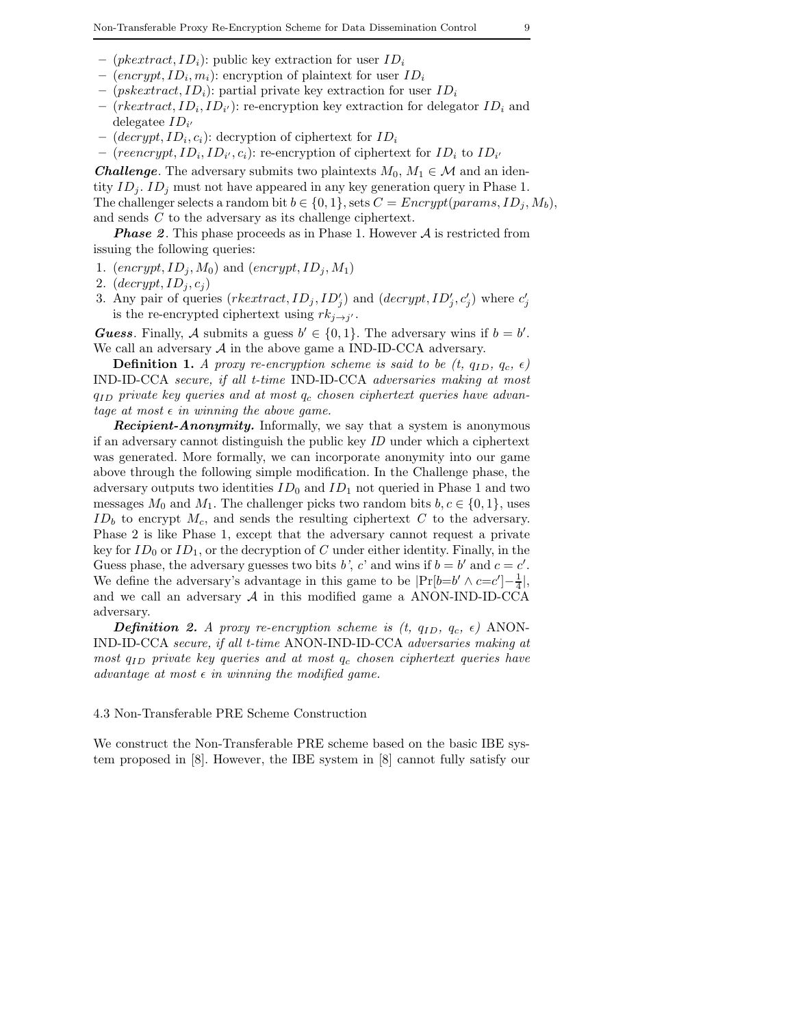- $(pkextract, ID<sub>i</sub>)$ : public key extraction for user  $ID<sub>i</sub>$
- $(energy t, ID<sub>i</sub>, m<sub>i</sub>)$ : encryption of plaintext for user  $ID<sub>i</sub>$
- $(pskextract, ID<sub>i</sub>)$ : partial private key extraction for user  $ID<sub>i</sub>$
- $-$  (*rkextract*,  $ID_i$ ,  $ID_{i'}$ ): re-encryption key extraction for delegator  $ID_i$  and delegatee  $ID_{i'}$
- $(decrypt, ID<sub>i</sub>, c<sub>i</sub>)$ : decryption of ciphertext for  $ID<sub>i</sub>$
- $-$  (reencrypt,  $ID_i$ ,  $ID_{i'}, c_i$ ): re-encryption of ciphertext for  $ID_i$  to  $ID_{i'}$

*Challenge*. The adversary submits two plaintexts  $M_0, M_1 \in \mathcal{M}$  and an identity  $ID_i$ .  $ID_j$  must not have appeared in any key generation query in Phase 1. The challenger selects a random bit  $b \in \{0, 1\}$ , sets  $C = \text{Energy}(params, ID_i, M_b)$ , and sends *C* to the adversary as its challenge ciphertext.

**Phase 2.** This phase proceeds as in Phase 1. However A is restricted from issuing the following queries:

- 1.  $(encrypt, ID_j, M_0)$  and  $(encrypt, ID_j, M_1)$
- 2.  $\left(\text{decrypt}, \text{ID}_j, c_j\right)$
- 3. Any pair of queries  $(rkeatrac, ID_j, ID'_j)$  and  $(decrypt, ID'_j, c'_j)$  where  $c'_j$ is the re-encrypted ciphertext using  $rk_{j\rightarrow j'}$ .

*Guess*. Finally, A submits a guess  $b' \in \{0, 1\}$ . The adversary wins if  $b = b'$ . We call an adversary  $A$  in the above game a IND-ID-CCA adversary.

**Definition 1.** *A proxy re-encryption scheme is said to be*  $(t, q_{ID}, q_c, \epsilon)$ IND-ID-CCA *secure, if all t-time* IND-ID-CCA *adversaries making at most* qID *private key queries and at most* q<sup>c</sup> *chosen ciphertext queries have advantage at most*  $\epsilon$  *in winning the above game.* 

*Recipient-Anonymity.* Informally, we say that a system is anonymous if an adversary cannot distinguish the public key *ID* under which a ciphertext was generated. More formally, we can incorporate anonymity into our game above through the following simple modification. In the Challenge phase, the adversary outputs two identities  $ID_0$  and  $ID_1$  not queried in Phase 1 and two messages  $M_0$  and  $M_1$ . The challenger picks two random bits  $b, c \in \{0, 1\}$ , uses  $ID<sub>b</sub>$  to encrypt  $M<sub>c</sub>$ , and sends the resulting ciphertext  $C$  to the adversary. Phase 2 is like Phase 1, except that the adversary cannot request a private key for  $ID_0$  or  $ID_1$ , or the decryption of *C* under either identity. Finally, in the Guess phase, the adversary guesses two bits *b'*, *c'* and wins if  $b = b'$  and  $c = c'$ . We define the adversary's advantage in this game to be  $|\Pr[b=b' \land c=c']-\frac{1}{4}|,$ and we call an adversary  $A$  in this modified game a ANON-IND-ID-CCA adversary.

*Definition 2. A proxy re-encryption scheme is (t,*  $q_{ID}$ *,*  $q_c$ *,*  $\epsilon$ *)* ANON-IND-ID-CCA *secure, if all t-time* ANON-IND-ID-CCA *adversaries making at most*  $q_{ID}$  *private key queries and at most*  $q_c$  *chosen ciphertext queries have advantage at most*  $\epsilon$  *in winning the modified game.* 

#### 4.3 Non-Transferable PRE Scheme Construction

We construct the Non-Transferable PRE scheme based on the basic IBE system proposed in [8]. However, the IBE system in [8] cannot fully satisfy our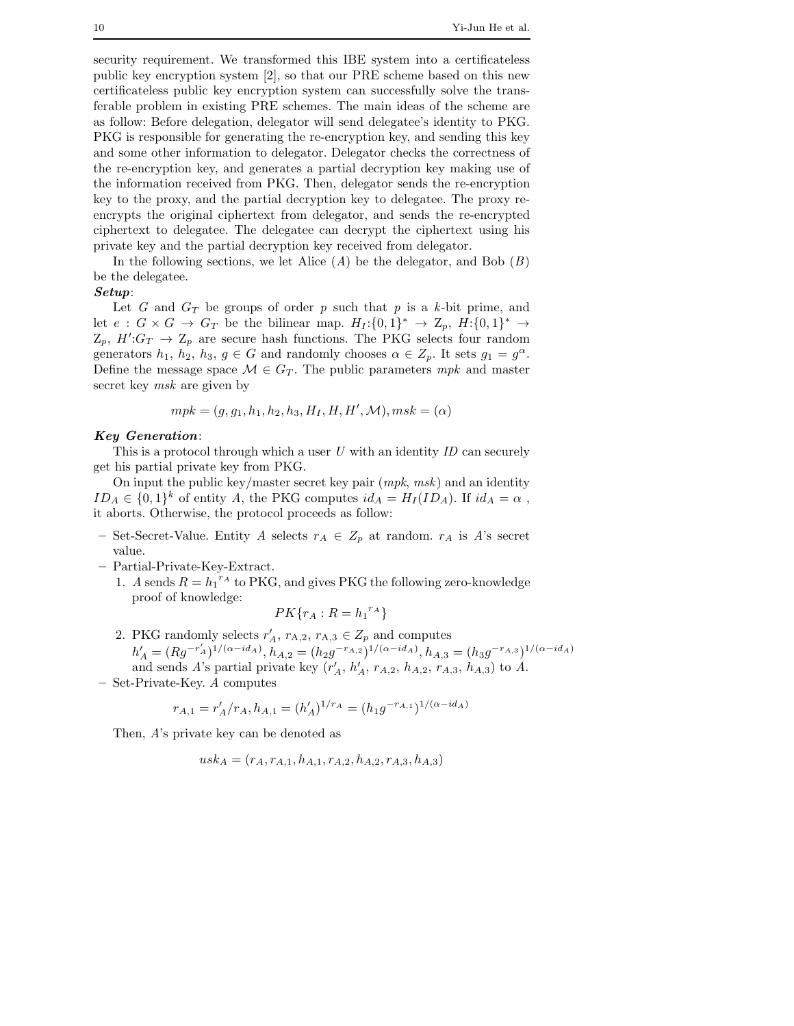security requirement. We transformed this IBE system into a certificateless public key encryption system [2], so that our PRE scheme based on this new certificateless public key encryption system can successfully solve the transferable problem in existing PRE schemes. The main ideas of the scheme are as follow: Before delegation, delegator will send delegatee's identity to PKG. PKG is responsible for generating the re-encryption key, and sending this key and some other information to delegator. Delegator checks the correctness of the re-encryption key, and generates a partial decryption key making use of the information received from PKG. Then, delegator sends the re-encryption key to the proxy, and the partial decryption key to delegatee. The proxy reencrypts the original ciphertext from delegator, and sends the re-encrypted ciphertext to delegatee. The delegatee can decrypt the ciphertext using his private key and the partial decryption key received from delegator.

In the following sections, we let Alice  $(A)$  be the delegator, and Bob  $(B)$ be the delegatee.

## *Setup*:

Let *G* and  $G_T$  be groups of order *p* such that *p* is a *k*-bit prime, and let  $e : G \times G \to G_T$  be the bilinear map.  $H_I:\{0,1\}^* \to \mathbb{Z}_p$ ,  $H:\{0,1\}^* \to$  $Z_p$ ,  $H':G_T \to Z_p$  are secure hash functions. The PKG selects four random generators  $h_1$ ,  $h_2$ ,  $h_3$ ,  $g \in G$  and randomly chooses  $\alpha \in Z_p$ . It sets  $g_1 = g^{\alpha}$ . Define the message space  $\mathcal{M} \in G_T$ . The public parameters  $mpk$  and master secret key *msk* are given by

$$
mpk = (g, g_1, h_1, h_2, h_3, H_I, H, H', \mathcal{M}), msk = (\alpha)
$$

#### *Key Generation*:

This is a protocol through which a user *U* with an identity *ID* can securely get his partial private key from PKG.

On input the public key/master secret key pair (*mpk*, *msk*) and an identity  $ID_A \in \{0,1\}^k$  of entity A, the PKG computes  $id_A = H_I(ID_A)$ . If  $id_A = \alpha$ , it aborts. Otherwise, the protocol proceeds as follow:

- Set-Secret-Value. Entity *A* selects  $r_A$  ∈  $Z_p$  at random.  $r_A$  is *A*'s secret value.
- **–** Partial-Private-Key-Extract.
	- 1. *A* sends  $R = h_1^{r_A}$  to PKG, and gives PKG the following zero-knowledge proof of knowledge:

$$
PK\{r_A: R = {h_1}^{r_A}\}
$$

- 2. PKG randomly selects  $r'_A$ ,  $r_{A,2}$ ,  $r_{A,3} \in Z_p$  and computes  $h'_A = (Rg^{-r'_A})^{1/(\alpha - id_A)}, h_{A,2} = (h_2g^{-r_{A,2}})^{1/(\alpha - id_A)}, h_{A,3} = (h_3g^{-r_{A,3}})^{1/(\alpha - id_A)}$ and sends *A*'s partial private key  $(r'_A, h'_A, r_{A,2}, h_{A,2}, r_{A,3}, h_{A,3})$  to *A*.
- **–** Set-Private-Key. *A* computes

$$
r_{A,1} = r'_A/r_A, h_{A,1} = (h'_A)^{1/r_A} = (h_1 g^{-r_{A,1}})^{1/(\alpha - id_A)}
$$

Then, *A*'s private key can be denoted as

$$
usk_A = (r_A, r_{A,1}, h_{A,1}, r_{A,2}, h_{A,2}, r_{A,3}, h_{A,3})
$$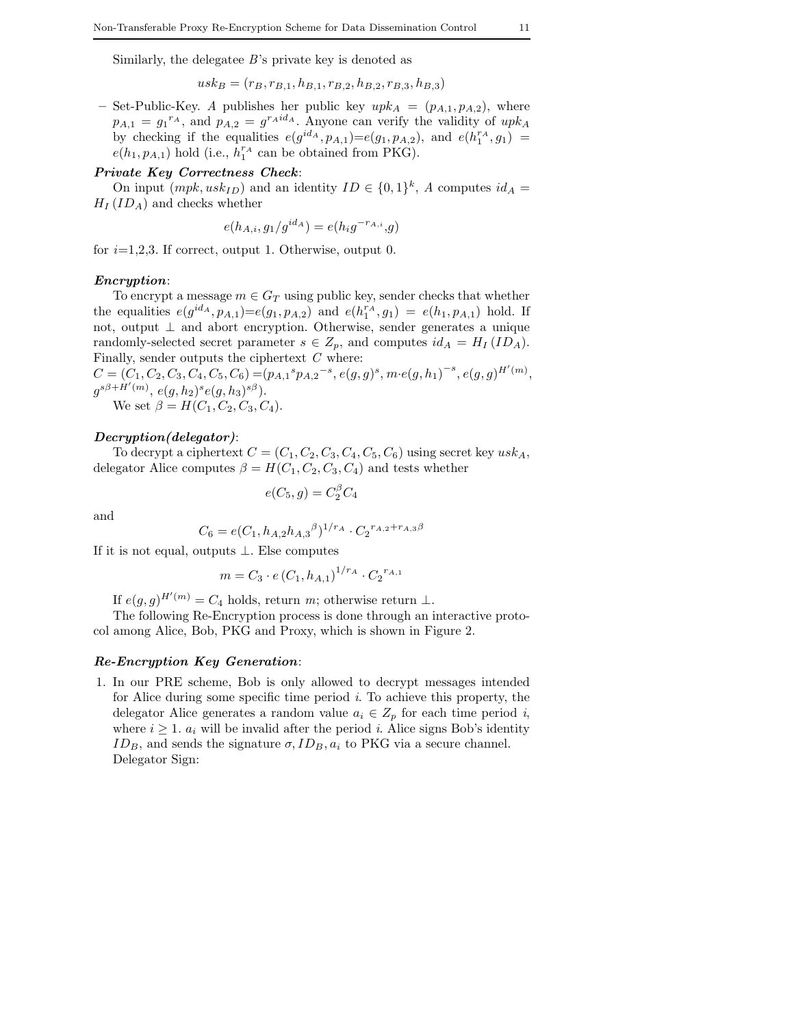Similarly, the delegatee *B*'s private key is denoted as

$$
usk_B = (r_B, r_{B,1}, h_{B,1}, r_{B,2}, h_{B,2}, r_{B,3}, h_{B,3})
$$

– Set-Public-Key. *A* publishes her public key  $upk_A = (p_{A,1}, p_{A,2})$ , where  $p_{A,1} = g_1^{r_A}$ , and  $p_{A,2} = g^{r_A id_A}$ . Anyone can verify the validity of  $upk_A$ by checking if the equalities  $e(g^{id_A}, p_{A,1})=e(g_1, p_{A,2}),$  and  $e(h_1^{r_A}, g_1)$  $e(h_1, p_{A,1})$  hold (i.e.,  $h_1^{r_A}$  can be obtained from PKG).

# *Private Key Correctness Check*:

On input  $(mpk, usk_{ID})$  and an identity  $ID \in \{0, 1\}^k$ , *A* computes  $id_A =$  $H_I (ID_A)$  and checks whether

$$
e(h_{A,i}, g_1/g^{id_A}) = e(h_i g^{-r_{A,i}}, g)
$$

for  $i=1,2,3$ . If correct, output 1. Otherwise, output 0.

## *Encryption*:

To encrypt a message  $m \in G_T$  using public key, sender checks that whether the equalities  $e(g^{id_A}, p_{A,1}) = e(g_1, p_{A,2})$  and  $e(h_1^{r_A}, g_1) = e(h_1, p_{A,1})$  hold. If not, output ⊥ and abort encryption. Otherwise, sender generates a unique randomly-selected secret parameter  $s \in Z_p$ , and computes  $id_A = H_I (ID_A)$ . Finally, sender outputs the ciphertext  $\mathcal C$  where:

 $C=(C_1,C_2,C_3,C_4,C_5,C_6) = (p_{A,1} {}^s p_{A,2}{}^{-s}, e(g,g) {}^s,m \cdot e(g,h_1)^{-s}, e(g,g) ^{H'(m)},$  $g^{s\beta + H'(m)}, e(g, h_2)^s e(g, h_3)^{s\beta}).$ We set  $\beta = H(C_1, C_2, C_3, C_4)$ .

*Decryption(delegator)*:

To decrypt a ciphertext  $C = (C_1, C_2, C_3, C_4, C_5, C_6)$  using secret key  $usk_A$ , delegator Alice computes  $\beta = H(C_1, C_2, C_3, C_4)$  and tests whether

$$
e(C_5, g) = C_2^{\beta} C_4
$$

and

$$
C_6 = e(C_1, h_{A,2}h_{A,3}{}^{\beta})^{1/r_A} \cdot C_2{}^{r_{A,2}+r_{A,3}\beta}
$$

If it is not equal, outputs ⊥. Else computes

$$
m = C_3 \cdot e \left( C_1, h_{A,1} \right)^{1/r_A} \cdot C_2^{r_{A,1}}
$$

If  $e(g, g)^{H'(m)} = C_4$  holds, return *m*; otherwise return  $\perp$ .

The following Re-Encryption process is done through an interactive protocol among Alice, Bob, PKG and Proxy, which is shown in Figure 2.

## *Re-Encryption Key Generation*:

1. In our PRE scheme, Bob is only allowed to decrypt messages intended for Alice during some specific time period *i*. To achieve this property, the delegator Alice generates a random value  $a_i \in Z_p$  for each time period *i*, where  $i \geq 1$ .  $a_i$  will be invalid after the period *i*. Alice signs Bob's identity  $ID_B$ , and sends the signature  $\sigma$ ,  $ID_B$ ,  $a_i$  to PKG via a secure channel. Delegator Sign: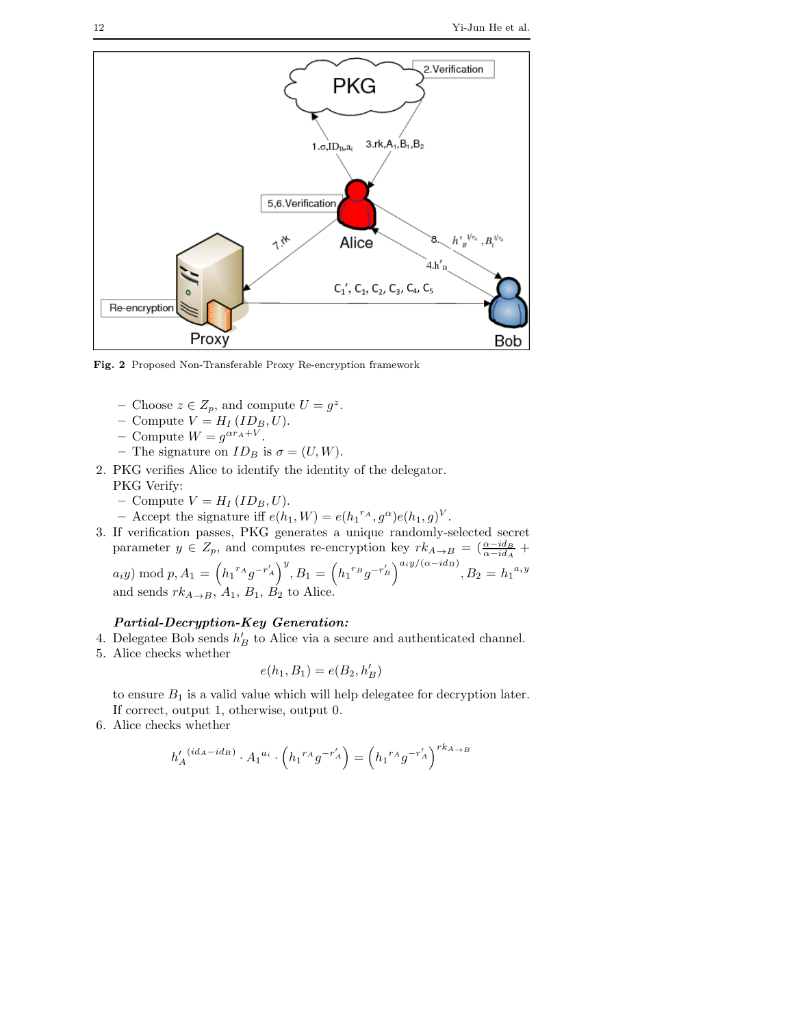

**Fig. 2** Proposed Non-Transferable Proxy Re-encryption framework

- − Choose  $z \in Z_p$ , and compute  $U = g^z$ .
- $-$  Compute  $V = H_I (ID_B, U)$ .
- Compute  $W = g^{\alpha r_A + V}$ .
- The signature on  $ID_B$  is  $\sigma = (U, W)$ .
- 2. PKG verifies Alice to identify the identity of the delegator. PKG Verify:
	- $-$  Compute  $V = H_I (ID_B, U)$ .
	- $-$  Accept the signature iff  $e(h_1, W) = e(h_1^{r_A}, g^{\alpha})e(h_1, g)^{V}$ .
- 3. If verification passes, PKG generates a unique randomly-selected secret parameter  $y \in Z_p$ , and computes re-encryption key  $rk_{A\to B} = \left(\frac{\alpha - id_B}{\alpha - id_A} + \frac{\alpha - id_B}{\alpha - id_B}\right)$  $a_i y) \bmod p, A_1 = \left( h_1{}^{r_A} g^{-r'_A} \right)^y, B_1 = \left( h_1{}^{r_B} g^{-r'_B} \right)^{a_i y/(\alpha - id_B)}, B_2 = h_1{}^{a_i y}$

and sends  $rk_{A\rightarrow B}$ ,  $A_1$ ,  $B_1$ ,  $B_2$  to Alice.

## *Partial-Decryption-Key Generation:*

- 4. Delegatee Bob sends  $h'_B$  to Alice via a secure and authenticated channel.
- 5. Alice checks whether

$$
e(h_1, B_1) = e(B_2, h'_B)
$$

to ensure  $B_1$  is a valid value which will help delegatee for decryption later. If correct, output 1, otherwise, output 0.

6. Alice checks whether

$$
h'_A{}^{(id_A - id_B)} \cdot {A_1}^{a_i} \cdot \left( {h_1}^{r_A} g^{-r'_A} \right) = \left( {h_1}^{r_A} g^{-r'_A} \right)^{r k_{A \to B}}
$$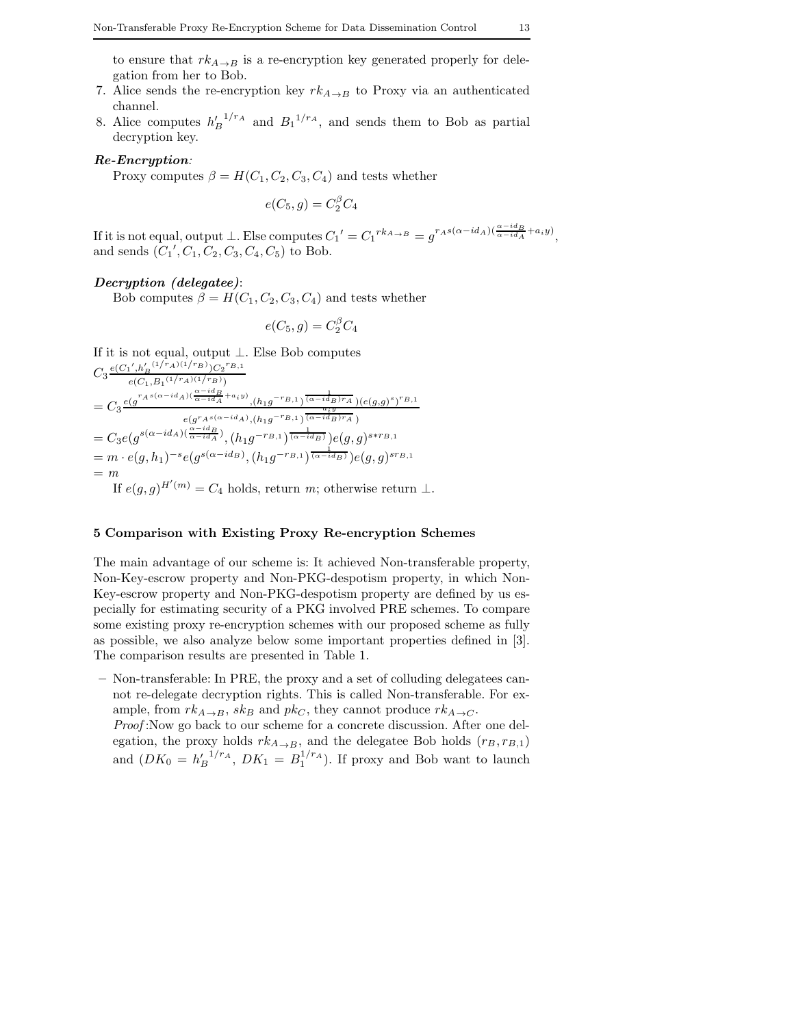to ensure that  $rk_{A\to B}$  is a re-encryption key generated properly for delegation from her to Bob.

- 7. Alice sends the re-encryption key  $rk_{A\rightarrow B}$  to Proxy via an authenticated channel.
- 8. Alice computes  $h_B^{1/r_A}$  and  $B_1^{1/r_A}$ , and sends them to Bob as partial decryption key.

### *Re-Encryption:*

Proxy computes  $\beta = H(C_1, C_2, C_3, C_4)$  and tests whether

$$
e(C_5, g) = C_2^{\beta} C_4
$$

If it is not equal, output  $\bot$ . Else computes  $C_1' = C_1^{rk_{A\to B}} = g^{r_A s(\alpha - id_A)(\frac{\alpha - id_B}{\alpha - id_A} + a_i y)},$ and sends  $(C_1', C_1, C_2, C_3, C_4, C_5)$  to Bob.

## *Decryption (delegatee)*:

Bob computes  $\beta = H(C_1, C_2, C_3, C_4)$  and tests whether

$$
e(C_5, g) = C_2^{\beta} C_4
$$

If it is not equal, output  $\bot.$  Else Bob computes  $C_3 \frac{e(C_1, h'_B)^{(1/r_A)(1/r_B)})C_2{}^{r_B,1}}{e(C_1, B_1)^{(1/r_A)(1/r_B)}}$  $e(C_1,B_1{}^{(1/r_A)(1/r_B)})$  $=C_3\frac{e(g^{r_{A}s(\alpha-id_{A})(\frac{\alpha-id_{B}}{\alpha-id_{A}}+a_{i}y)}{a_{i}y},(h_{1}g^{-r_{B,1}})^{\frac{1}{(\alpha-id_{B})r_{A}}})(e(g,g)^{s})^{r_{B,1}}} {a_{i}y}$  $e(g^r A^{s(\alpha-i d_A)}, (h_1 g^{-r_B}, 1) \overbrace{(\alpha-i d_B) r_A}^{a_i y})$  $=C_3e(g^{s(\alpha-id_A)(\frac{\alpha-id_B}{\alpha-id_A})},(h_1g^{-r_{B,1}})^{\frac{1}{(\alpha-id_B)}})e(g,g)^{s*r_{B,1}}$  $= m \cdot e(g, h_1)^{-s} e(g^{s(\alpha - id_B)}, (h_1 g^{-r_{B,1}})^{\frac{1}{(\alpha - id_B)}}) e(g, g)^{s r_{B,1}}$ = *m* If  $e(g, g)^{H'(m)} = C_4$  holds, return *m*; otherwise return  $\perp$ .

## **5 Comparison with Existing Proxy Re-encryption Schemes**

The main advantage of our scheme is: It achieved Non-transferable property, Non-Key-escrow property and Non-PKG-despotism property, in which Non-Key-escrow property and Non-PKG-despotism property are defined by us especially for estimating security of a PKG involved PRE schemes. To compare some existing proxy re-encryption schemes with our proposed scheme as fully as possible, we also analyze below some important properties defined in [3]. The comparison results are presented in Table 1.

**–** Non-transferable: In PRE, the proxy and a set of colluding delegatees cannot re-delegate decryption rights. This is called Non-transferable. For example, from  $rk_{A\to B}$ ,  $sk_B$  and  $pk_C$ , they cannot produce  $rk_{A\to C}$ .

*Proof* :Now go back to our scheme for a concrete discussion. After one delegation, the proxy holds  $rk_{A\to B}$ , and the delegatee Bob holds  $(r_B, r_{B,1})$ and  $(DK_0 = h_B'^{1/r_A}, DK_1 = B_1^{1/r_A})$ . If proxy and Bob want to launch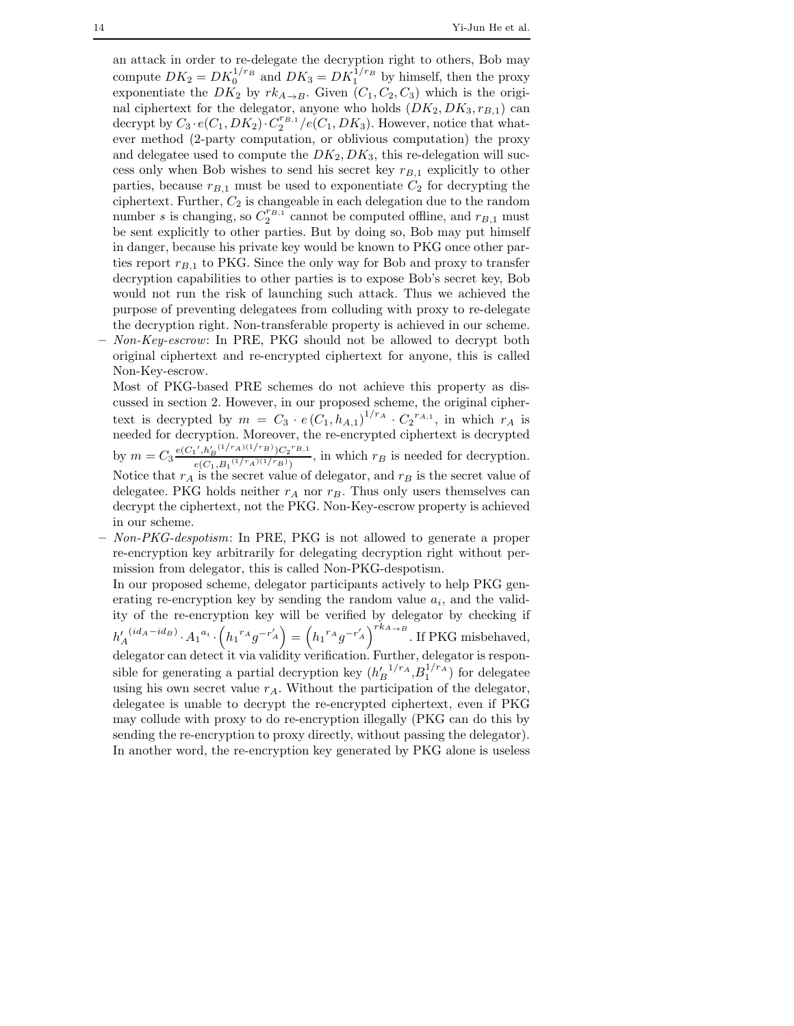an attack in order to re-delegate the decryption right to others, Bob may compute  $DK_2 = DK_0^{1/r_B}$  and  $DK_3 = DK_1^{1/r_B}$  by himself, then the proxy exponentiate the  $DK_2$  by  $rk_{A\rightarrow B}$ . Given  $(C_1, C_2, C_3)$  which is the original ciphertext for the delegator, anyone who holds  $(DK_2, DK_3, r_{B,1})$  can decrypt by  $C_3 \cdot e(C_1, DK_2) \cdot C_2^{r_{B,1}}/e(C_1, DK_3)$ . However, notice that whatever method (2-party computation, or oblivious computation) the proxy and delegatee used to compute the  $DK_2, DK_3$ , this re-delegation will success only when Bob wishes to send his secret key  $r_{B,1}$  explicitly to other parties, because  $r_{B,1}$  must be used to exponentiate  $C_2$  for decrypting the ciphertext. Further,  $C_2$  is changeable in each delegation due to the random number *s* is changing, so  $C_2^{r_{B,1}}$  cannot be computed offline, and  $r_{B,1}$  must be sent explicitly to other parties. But by doing so, Bob may put himself in danger, because his private key would be known to PKG once other parties report  $r_{B,1}$  to PKG. Since the only way for Bob and proxy to transfer decryption capabilities to other parties is to expose Bob's secret key, Bob would not run the risk of launching such attack. Thus we achieved the purpose of preventing delegatees from colluding with proxy to re-delegate the decryption right. Non-transferable property is achieved in our scheme. **–** *Non-Key-escrow*: In PRE, PKG should not be allowed to decrypt both original ciphertext and re-encrypted ciphertext for anyone, this is called

Non-Key-escrow.

Most of PKG-based PRE schemes do not achieve this property as discussed in section 2. However, in our proposed scheme, the original ciphertext is decrypted by  $m = C_3 \cdot e(C_1, h_{A,1})^{1/r_A} \cdot C_2^{r_{A,1}},$  in which  $r_A$  is needed for decryption. Moreover, the re-encrypted ciphertext is decrypted by  $m = C_3 \frac{e(C_1', h'_B(1/r_A)(1/r_B)) C_2^{r_B} (1/r_A)(1/r_B)}{e(C_1 - P_1(1/r_A)(1/r_B))}$  $e^{(C_1, B_1^{(1/r_A)(1/r_B)})}$ , in which  $r_B$  is needed for decryption. Notice that  $r_A$  is the secret value of delegator, and  $r_B$  is the secret value of delegatee. PKG holds neither  $r_A$  nor  $r_B$ . Thus only users themselves can decrypt the ciphertext, not the PKG. Non-Key-escrow property is achieved in our scheme.

**–** *Non-PKG-despotism*: In PRE, PKG is not allowed to generate a proper re-encryption key arbitrarily for delegating decryption right without permission from delegator, this is called Non-PKG-despotism.

In our proposed scheme, delegator participants actively to help PKG generating re-encryption key by sending the random value  $a_i$ , and the validity of the re-encryption key will be verified by delegator by checking if  $h'_A{}^{(id_A - id_B)} \cdot A_1{}^{a_i} \cdot \left(h_1{}^{r_A}g^{-r'_A}\right) = \left(h_1{}^{r_A}g^{-r'_A}\right)^{rk_A \to B}$ . If PKG misbehaved, delegator can detect it via validity verification. Further, delegator is responsible for generating a partial decryption key  $(h_B^{\prime})^{1/r_A}, B_1^{1/r_A})$  for delegatee using his own secret value  $r_A$ . Without the participation of the delegator, delegatee is unable to decrypt the re-encrypted ciphertext, even if PKG may collude with proxy to do re-encryption illegally (PKG can do this by sending the re-encryption to proxy directly, without passing the delegator). In another word, the re-encryption key generated by PKG alone is useless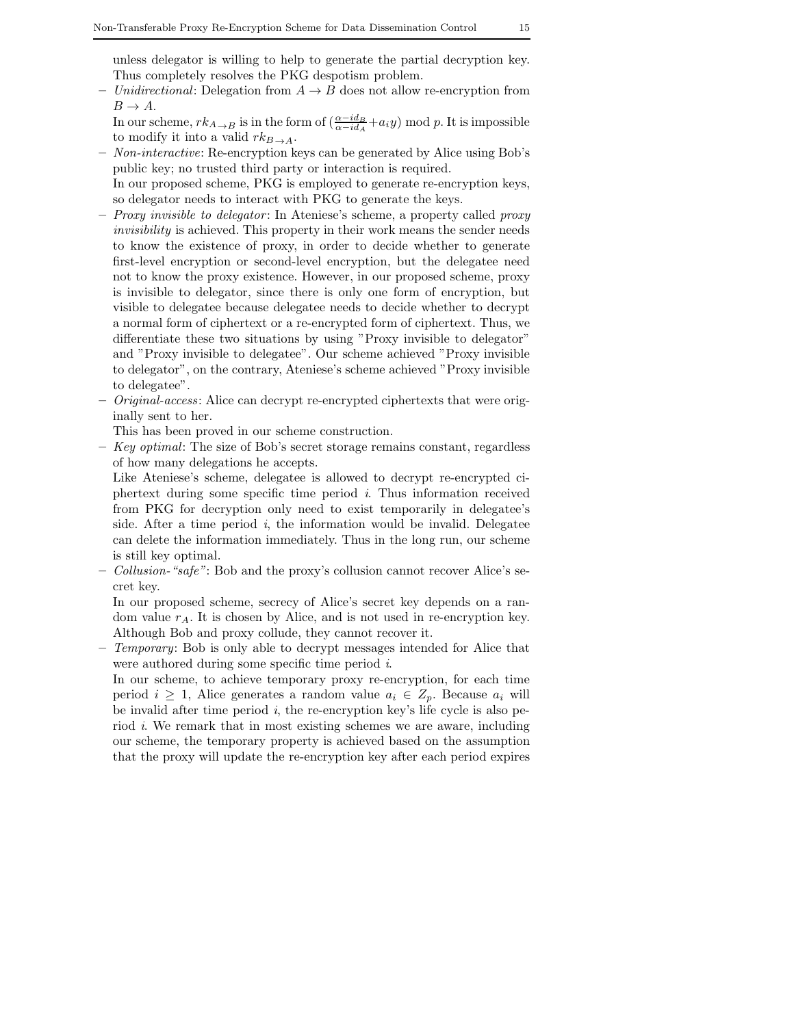unless delegator is willing to help to generate the partial decryption key. Thus completely resolves the PKG despotism problem.

- **–** *Unidirectional*: Delegation from A → B does not allow re-encryption from  $B \to A$ .
	- In our scheme,  $rk_{A\to B}$  is in the form of  $\left(\frac{\alpha-id_B}{\alpha-id_A}+a_iy\right)$  mod p. It is impossible to modify it into a valid  $rk_{B\to A}$ .
- **–** *Non-interactive*: Re-encryption keys can be generated by Alice using Bob's public key; no trusted third party or interaction is required.
- In our proposed scheme, PKG is employed to generate re-encryption keys, so delegator needs to interact with PKG to generate the keys.
- **–** *Proxy invisible to delegator* : In Ateniese's scheme, a property called *proxy invisibility* is achieved. This property in their work means the sender needs to know the existence of proxy, in order to decide whether to generate first-level encryption or second-level encryption, but the delegatee need not to know the proxy existence. However, in our proposed scheme, proxy is invisible to delegator, since there is only one form of encryption, but visible to delegatee because delegatee needs to decide whether to decrypt a normal form of ciphertext or a re-encrypted form of ciphertext. Thus, we differentiate these two situations by using "Proxy invisible to delegator" and "Proxy invisible to delegatee". Our scheme achieved "Proxy invisible to delegator", on the contrary, Ateniese's scheme achieved "Proxy invisible to delegatee".
- **–** *Original-access*: Alice can decrypt re-encrypted ciphertexts that were originally sent to her.

This has been proved in our scheme construction.

**–** *Key optimal*: The size of Bob's secret storage remains constant, regardless of how many delegations he accepts.

Like Ateniese's scheme, delegatee is allowed to decrypt re-encrypted ciphertext during some specific time period *i*. Thus information received from PKG for decryption only need to exist temporarily in delegatee's side. After a time period *i*, the information would be invalid. Delegatee can delete the information immediately. Thus in the long run, our scheme is still key optimal.

**–** *Collusion-"safe"*: Bob and the proxy's collusion cannot recover Alice's secret key.

In our proposed scheme, secrecy of Alice's secret key depends on a random value  $r_A$ . It is chosen by Alice, and is not used in re-encryption key. Although Bob and proxy collude, they cannot recover it.

**–** *Temporary*: Bob is only able to decrypt messages intended for Alice that were authored during some specific time period *i*.

In our scheme, to achieve temporary proxy re-encryption, for each time period  $i \geq 1$ , Alice generates a random value  $a_i \in Z_p$ . Because  $a_i$  will be invalid after time period *i*, the re-encryption key's life cycle is also period *i*. We remark that in most existing schemes we are aware, including our scheme, the temporary property is achieved based on the assumption that the proxy will update the re-encryption key after each period expires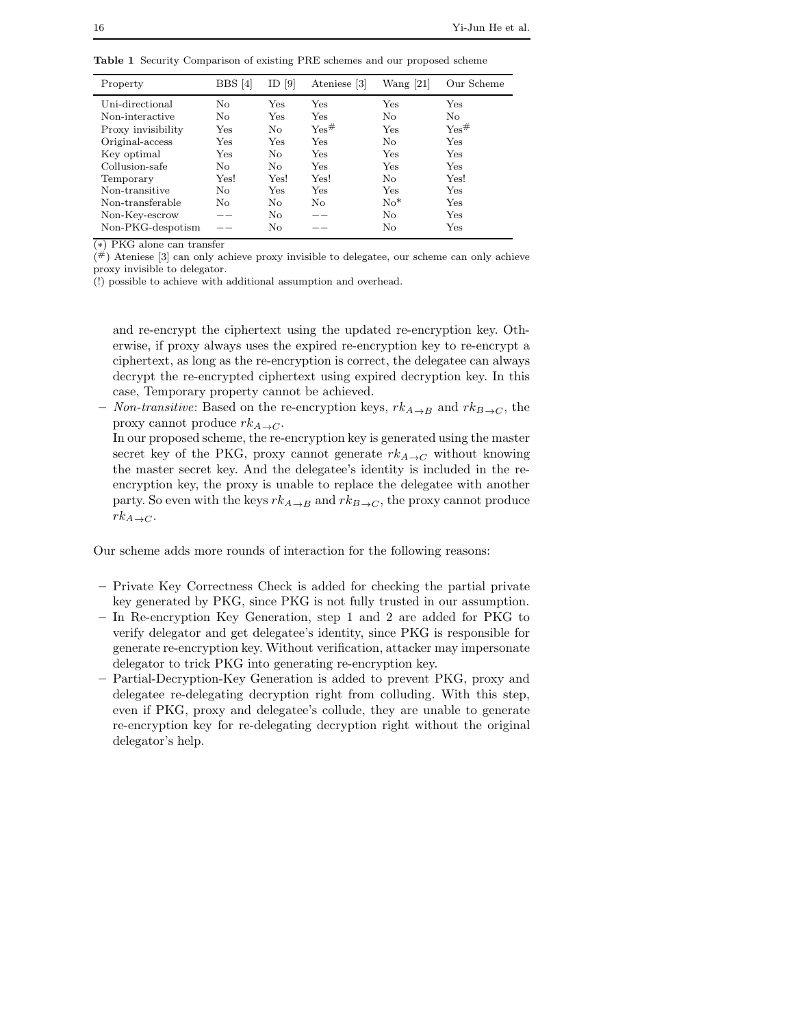|  |  |  |  | <b>Table 1</b> Security Comparison of existing PRE schemes and our proposed scheme |  |  |  |
|--|--|--|--|------------------------------------------------------------------------------------|--|--|--|
|--|--|--|--|------------------------------------------------------------------------------------|--|--|--|

| Property           | BBS [4]      | $\lceil 9 \rceil$<br>ID | Ateniese [3] | Wang $[21]$ | Our Scheme          |
|--------------------|--------------|-------------------------|--------------|-------------|---------------------|
| Uni-directional    | No           | Yes                     | Yes          | Yes         | Yes                 |
| Non-interactive    | No           | Yes                     | Yes          | No          | No                  |
| Proxy invisibility | $_{\rm Yes}$ | No                      | Yes#         | Yes         | $\gamma_{\rm es}\#$ |
| Original-access    | $_{\rm Yes}$ | Yes                     | Yes          | No          | Yes                 |
| Key optimal        | $_{\rm Yes}$ | No                      | Yes          | Yes         | Yes                 |
| Collusion-safe     | No           | No                      | $_{\rm Yes}$ | Yes         | Yes                 |
| Temporary          | Yes!         | Yes!                    | Yes!         | No          | Yes!                |
| Non-transitive     | No           | Yes                     | Yes          | Yes         | Yes                 |
| Non-transferable   | No           | No                      | No.          | $No*$       | Yes                 |
| Non-Key-escrow     |              | No                      |              | No          | Yes                 |
| Non-PKG-despotism  |              | No                      |              | No          | Yes                 |

(∗) PKG alone can transfer

 $($ #) Ateniese [3] can only achieve proxy invisible to delegatee, our scheme can only achieve proxy invisible to delegator.

(!) possible to achieve with additional assumption and overhead.

and re-encrypt the ciphertext using the updated re-encryption key. Otherwise, if proxy always uses the expired re-encryption key to re-encrypt a ciphertext, as long as the re-encryption is correct, the delegatee can always decrypt the re-encrypted ciphertext using expired decryption key. In this case, Temporary property cannot be achieved.

*Non-transitive*: Based on the re-encryption keys,  $rk_{A\rightarrow B}$  and  $rk_{B\rightarrow C}$ , the proxy cannot produce  $rk_{A\to C}$ .

In our proposed scheme, the re-encryption key is generated using the master secret key of the PKG, proxy cannot generate  $rk_{A\to C}$  without knowing the master secret key. And the delegatee's identity is included in the reencryption key, the proxy is unable to replace the delegatee with another party. So even with the keys  $rk_{A\rightarrow B}$  and  $rk_{B\rightarrow C}$ , the proxy cannot produce  $rk_{A\to C}$ .

Our scheme adds more rounds of interaction for the following reasons:

- **–** Private Key Correctness Check is added for checking the partial private key generated by PKG, since PKG is not fully trusted in our assumption.
- **–** In Re-encryption Key Generation, step 1 and 2 are added for PKG to verify delegator and get delegatee's identity, since PKG is responsible for generate re-encryption key. Without verification, attacker may impersonate delegator to trick PKG into generating re-encryption key.
- **–** Partial-Decryption-Key Generation is added to prevent PKG, proxy and delegatee re-delegating decryption right from colluding. With this step, even if PKG, proxy and delegatee's collude, they are unable to generate re-encryption key for re-delegating decryption right without the original delegator's help.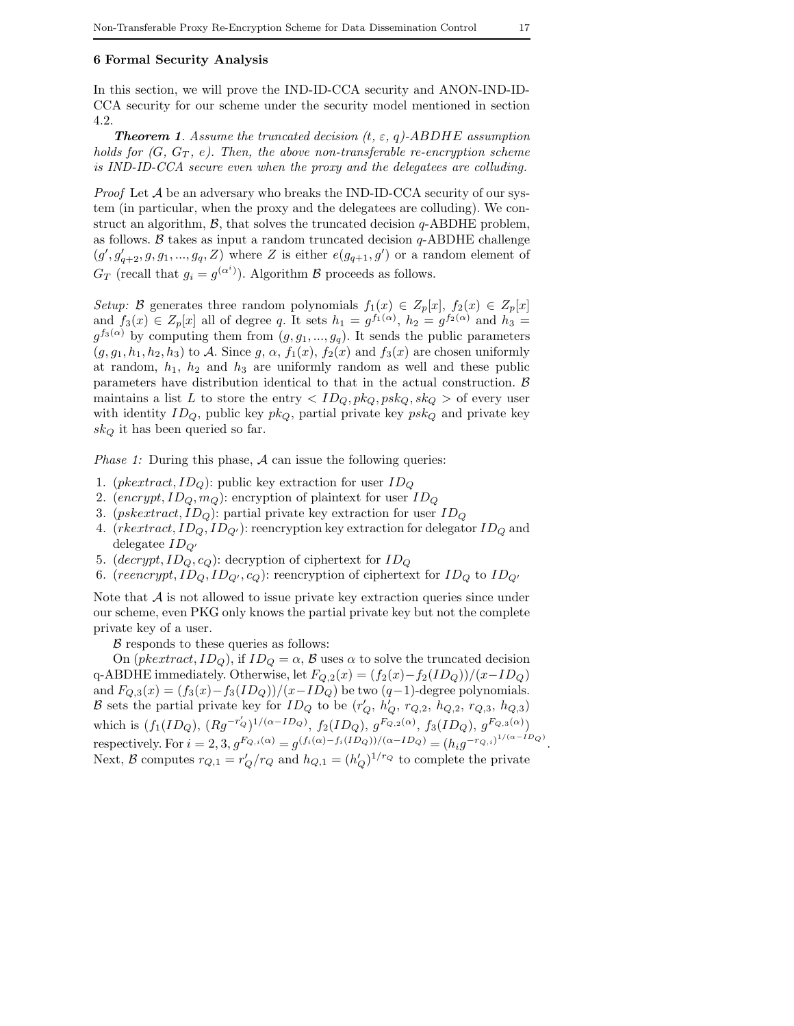#### **6 Formal Security Analysis**

In this section, we will prove the IND-ID-CCA security and ANON-IND-ID-CCA security for our scheme under the security model mentioned in section 4.2.

*Theorem 1. Assume the truncated decision (*t*,* ε*,* q*)-*ABDHE *assumption holds for*  $(G, G_T, e)$ *. Then, the above non-transferable re-encryption scheme is IND-ID-CCA secure even when the proxy and the delegatees are colluding.*

*Proof* Let A be an adversary who breaks the IND-ID-CCA security of our system (in particular, when the proxy and the delegatees are colluding). We construct an algorithm,  $\beta$ , that solves the truncated decision q-ABDHE problem, as follows. B takes as input a random truncated decision  $q$ -ABDHE challenge  $(g', g'_{q+2}, g, g_1, ..., g_q, Z)$  where Z is either  $e(g_{q+1}, g')$  or a random element of  $G_T$  (recall that  $g_i = g^{(\alpha^i)}$ ). Algorithm B proceeds as follows.

*Setup:* B generates three random polynomials  $f_1(x) \in Z_p[x]$ ,  $f_2(x) \in Z_p[x]$ and  $f_3(x) \in Z_p[x]$  all of degree q. It sets  $h_1 = g^{f_1(\alpha)}$ ,  $h_2 = g^{f_2(\alpha)}$  and  $h_3 =$  $g^{f_3(\alpha)}$  by computing them from  $(g, g_1, ..., g_q)$ . It sends the public parameters  $(g, g_1, h_1, h_2, h_3)$  to A. Since  $g, \alpha, f_1(x), f_2(x)$  and  $f_3(x)$  are chosen uniformly at random,  $h_1$ ,  $h_2$  and  $h_3$  are uniformly random as well and these public parameters have distribution identical to that in the actual construction.  $\beta$ maintains a list L to store the entry  $\langle ID_Q, pk_Q, pk_Q, sk_Q \rangle$  of every user with identity  $ID_Q$ , public key  $pk_Q$ , partial private key  $psk_Q$  and private key  $sk<sub>O</sub>$  it has been queried so far.

*Phase 1:* During this phase, A can issue the following queries:

- 1. (*pkextract*,  $ID_Q$ ): public key extraction for user  $ID_Q$
- 2. (encrypt,  $ID_Q, m_Q$ ): encryption of plaintext for user  $ID_Q$
- 3. (*pskextract*,  $ID_Q$ ): partial private key extraction for user  $ID_Q$
- 4.  $(rkext \cdot \text{rad}, ID_Q, ID_{Q'})$ : reencryption key extraction for delegator  $ID_Q$  and delegatee  $ID_{Q'}$
- 5. (decrypt,  $ID_Q, c_Q$ ): decryption of ciphertext for  $ID_Q$
- 6. (reencrypt,  $ID_Q$ ,  $ID_{Q'}$ ,  $c_Q$ ): reencryption of ciphertext for  $ID_Q$  to  $ID_{Q'}$

Note that  $A$  is not allowed to issue private key extraction queries since under our scheme, even PKG only knows the partial private key but not the complete private key of a user.

 $\beta$  responds to these queries as follows:

On (*pkextract*,  $ID_Q$ ), if  $ID_Q = \alpha$ ,  $\beta$  uses  $\alpha$  to solve the truncated decision q-ABDHE immediately. Otherwise, let  $F_{Q,2}(x)=(f_2(x)-f_2(ID_Q))/(x-ID_Q)$ and  $F_{Q,3}(x)=(f_3(x)-f_3(ID_Q))/(x-ID_Q)$  be two  $(q-1)$ -degree polynomials. B sets the partial private key for  $ID_Q$  to be  $(r'_Q, h'_Q, r_{Q,2}, h_{Q,2}, r_{Q,3}, h_{Q,3})$ which is  $(f_1(ID_Q), (Rg^{-r'_Q})^{1/(\alpha-ID_Q)}, f_2(ID_Q), g^{F_{Q,2}(\alpha)}, f_3(ID_Q), g^{F_{Q,3}(\alpha)})$ respectively. For  $i = 2, 3, g^{F_{Q,i}(\alpha)} = g^{(f_i(\alpha) - f_i(ID_Q))/(\alpha - ID_Q)} = (h_i g^{-r_{Q,i}})^{1/(\alpha - ID_Q)}.$ Next, B computes  $r_{Q,1} = r'_Q/r_Q$  and  $h_{Q,1} = (h'_Q)^{1/r_Q}$  to complete the private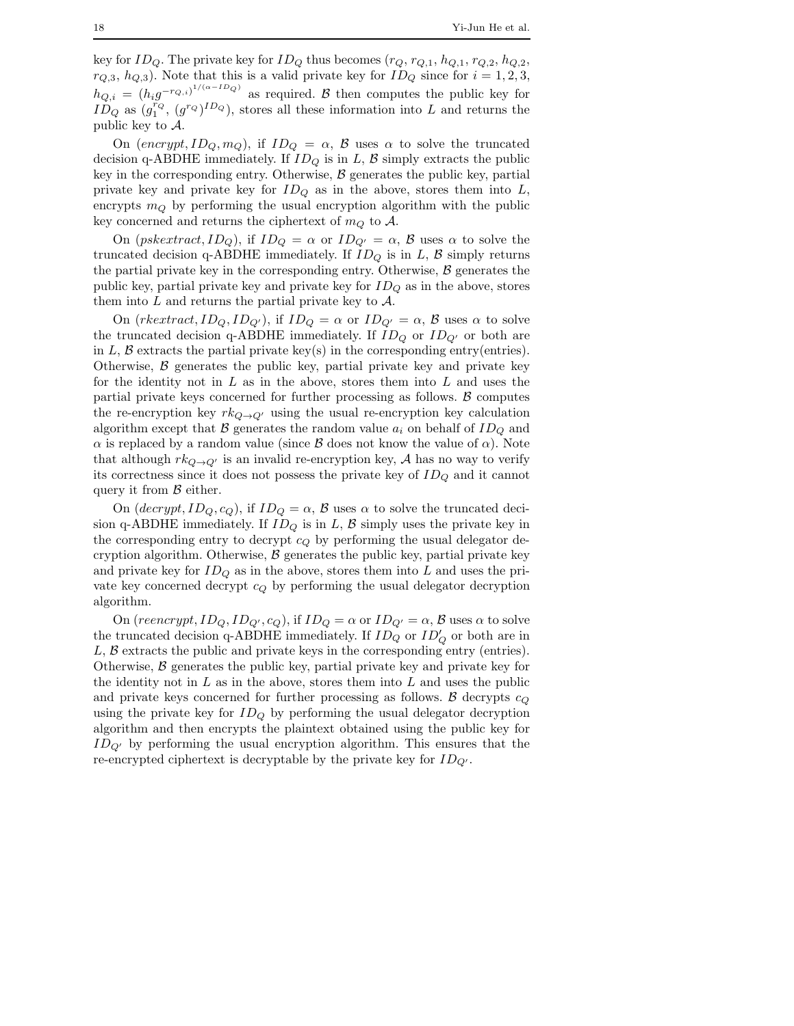key for  $ID_Q$ . The private key for  $ID_Q$  thus becomes  $(r_Q, r_{Q,1}, h_{Q,1}, r_{Q,2}, h_{Q,2},$  $r_{Q,3}, h_{Q,3}$ ). Note that this is a valid private key for  $ID_Q$  since for  $i = 1, 2, 3$ ,  $h_{Q,i} = (h_i g^{-r_{Q,i}})^{1/(\alpha - ID_Q)}$  as required. B then computes the public key for  $I_{D_Q}^{N_Q}$  as  $(g_1^{r_Q}, (g^{r_Q})^{ID_Q})$ , stores all these information into L and returns the public key to A.

On (encrypt,  $ID_Q, m_Q$ ), if  $ID_Q = \alpha$ ,  $\beta$  uses  $\alpha$  to solve the truncated decision q-ABDHE immediately. If  $ID<sub>O</sub>$  is in L, B simply extracts the public key in the corresponding entry. Otherwise,  $\beta$  generates the public key, partial private key and private key for  $ID_Q$  as in the above, stores them into  $L$ , encrypts  $m_Q$  by performing the usual encryption algorithm with the public key concerned and returns the ciphertext of  $m_Q$  to A.

On  $(pskextract, ID_Q)$ , if  $ID_Q = \alpha$  or  $ID_{Q'} = \alpha$ ,  $\beta$  uses  $\alpha$  to solve the truncated decision q-ABDHE immediately. If  $ID_Q$  is in  $L$ ,  $\beta$  simply returns the partial private key in the corresponding entry. Otherwise,  $\beta$  generates the public key, partial private key and private key for  $ID_Q$  as in the above, stores them into  $L$  and returns the partial private key to  $\mathcal{A}$ .

On  $(rkeatrac, ID_Q, ID_{Q'})$ , if  $ID_Q = \alpha$  or  $ID_{Q'} = \alpha$ ,  $\beta$  uses  $\alpha$  to solve the truncated decision q-ABDHE immediately. If  $ID_Q$  or  $ID_{Q'}$  or both are in L, B extracts the partial private key(s) in the corresponding entry(entries). Otherwise,  $\beta$  generates the public key, partial private key and private key for the identity not in  $L$  as in the above, stores them into  $L$  and uses the partial private keys concerned for further processing as follows.  $B$  computes the re-encryption key  $rk_{Q\to Q'}$  using the usual re-encryption key calculation algorithm except that B generates the random value  $a_i$  on behalf of  $ID_Q$  and  $\alpha$  is replaced by a random value (since  $\beta$  does not know the value of  $\alpha$ ). Note that although  $rk_{Q\to Q'}$  is an invalid re-encryption key, A has no way to verify its correctness since it does not possess the private key of  $ID_Q$  and it cannot query it from  $\beta$  either.

On  $\left(\text{decrypt}, ID_Q, c_Q\right)$ , if  $ID_Q = \alpha$ ,  $\beta$  uses  $\alpha$  to solve the truncated decision q-ABDHE immediately. If  $ID_Q$  is in  $L, B$  simply uses the private key in the corresponding entry to decrypt  $c_Q$  by performing the usual delegator decryption algorithm. Otherwise,  $\beta$  generates the public key, partial private key and private key for  $ID_Q$  as in the above, stores them into  $L$  and uses the private key concerned decrypt  $c_Q$  by performing the usual delegator decryption algorithm.

On (reencrypt,  $ID_Q$ ,  $ID_{Q'}$ ,  $c_Q$ ), if  $ID_Q = \alpha$  or  $ID_{Q'} = \alpha$ ,  $\beta$  uses  $\alpha$  to solve the truncated decision q-ABDHE immediately. If  $ID_Q$  or  $ID'_Q$  or both are in  $L, \beta$  extracts the public and private keys in the corresponding entry (entries). Otherwise,  $\beta$  generates the public key, partial private key and private key for the identity not in  $L$  as in the above, stores them into  $L$  and uses the public and private keys concerned for further processing as follows.  $\beta$  decrypts  $c_Q$ using the private key for  $ID<sub>O</sub>$  by performing the usual delegator decryption algorithm and then encrypts the plaintext obtained using the public key for  $ID_{Q'}$  by performing the usual encryption algorithm. This ensures that the re-encrypted ciphertext is decryptable by the private key for  $ID_{Q'}$ .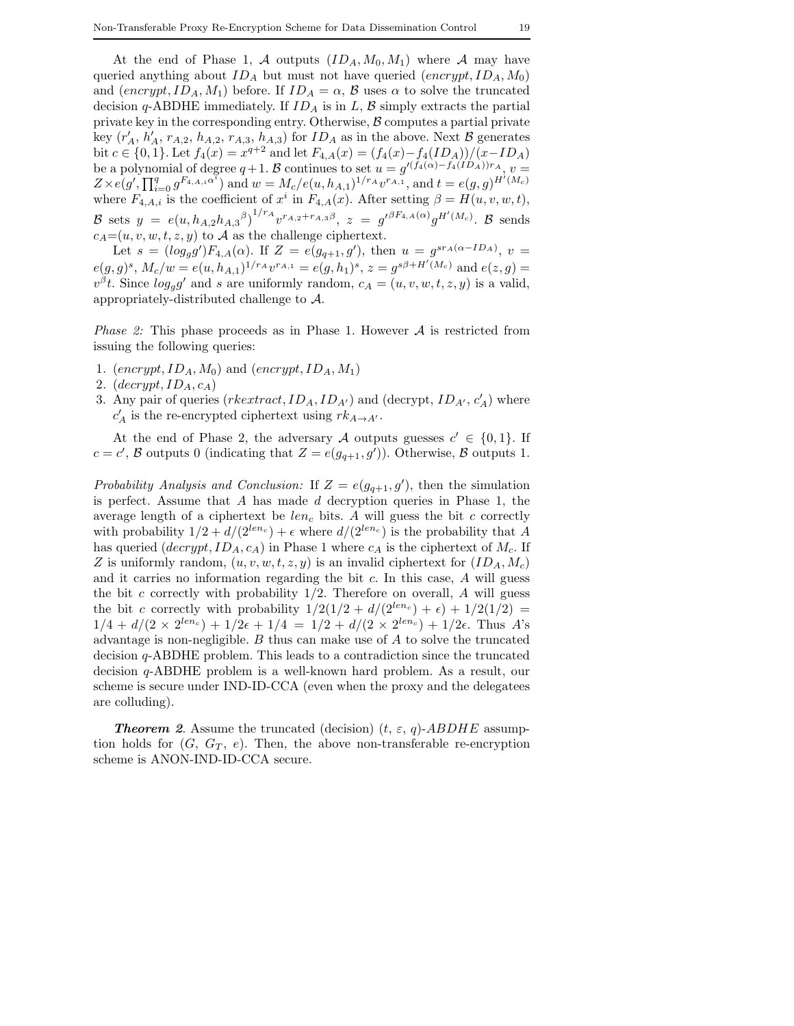At the end of Phase 1, A outputs  $(ID_A, M_0, M_1)$  where A may have queried anything about  $ID_A$  but must not have queried  $(energy t, ID_A, M_0)$ and  $(encrypt, ID_A, M_1)$  before. If  $ID_A = \alpha$ ,  $\beta$  uses  $\alpha$  to solve the truncated decision q-ABDHE immediately. If  $ID_A$  is in  $L, B$  simply extracts the partial private key in the corresponding entry. Otherwise,  $\beta$  computes a partial private key  $(r'_A, h'_A, r_{A,2}, h_{A,2}, r_{A,3}, h_{A,3})$  for  $ID_A$  as in the above. Next  $B$  generates bit  $c \in \{0, 1\}$ . Let  $f_4(x) = x^{q+2}$  and let  $F_{4, A}(x) = (f_4(x) - f_4(ID_A))/(x-ID_A)$ be a polynomial of degree  $q+1$ . B continues to set  $u = g'(f_4(\alpha) - f_4(ID_A))r_A$ ,  $v =$  $Z \times e(g', \prod_{i=0}^q g^{F_{4,A,i}}^{\alpha^i})$  and  $w = M_c/e(u, h_{A,1})^{1/r_A} v^{r_{A,1}},$  and  $t = e(g, g)^{H'(M_c)}$ where  $F_{4,A,i}$  is the coefficient of  $x^i$  in  $F_{4,A}(x)$ . After setting  $\beta = H(u, v, w, t)$ , B sets  $y = e(u, h_{A,2}h_{A,3}{}^{\beta})^{1/r_A}v^{r_{A,2}+r_{A,3}\beta}, z = g'^{\beta F_{4,A}(\alpha)}g^{H'(M_c)}.$  B sends  $c_A=(u, v, w, t, z, y)$  to A as the challenge ciphertext.

Let  $s = (log_g g')F_{4,A}(\alpha)$ . If  $Z = e(g_{q+1}, g')$ , then  $u = g^{s r_A(\alpha - ID_A)}$ ,  $v =$  $e(g,g)^s$ ,  $M_c/w = e(u, h_{A,1})^{1/r_A}v^{r_{A,1}} = e(g, h_1)^s$ ,  $z = g^{s\beta + H'(M_c)}$  and  $e(z, g) =$  $v^{\beta}t$ . Since  $log_g g'$  and s are uniformly random,  $c_A = (u, v, w, t, z, y)$  is a valid, appropriately-distributed challenge to A.

*Phase 2:* This phase proceeds as in Phase 1. However A is restricted from issuing the following queries:

- 1.  $(encrypt, ID_A, M_0)$  and  $(encrypt, ID_A, M_1)$
- 2.  $\left( \text{decrypt}, \text{ID}_A, \text{c}_A \right)$
- 3. Any pair of queries  $(rkextract, ID_A, ID_{A'})$  and  $(decrypt, ID_{A'}, c'_A)$  where  $c'_A$  is the re-encrypted ciphertext using  $rk_{A\to A'}$ .

At the end of Phase 2, the adversary A outputs guesses  $c' \in \{0,1\}$ . If  $c = c'$ , B outputs 0 (indicating that  $Z = e(g_{q+1}, g')$ ). Otherwise, B outputs 1.

*Probability Analysis and Conclusion:* If  $Z = e(g_{q+1}, g')$ , then the simulation is perfect. Assume that A has made  $d$  decryption queries in Phase 1, the average length of a ciphertext be  $len<sub>c</sub>$  bits. A will guess the bit c correctly with probability  $1/2 + d/(2^{len_c}) + \epsilon$  where  $d/(2^{len_c})$  is the probability that A has queried  $(decrypt, ID_A, c_A)$  in Phase 1 where  $c_A$  is the ciphertext of  $M_c$ . If Z is uniformly random,  $(u, v, w, t, z, y)$  is an invalid ciphertext for  $(ID_A, M_c)$ and it carries no information regarding the bit  $c$ . In this case,  $A$  will guess the bit  $c$  correctly with probability  $1/2$ . Therefore on overall,  $A$  will guess the bit c correctly with probability  $1/2(1/2 + d/(2^{len_c}) + \epsilon) + 1/2(1/2)$  $1/4 + d/(2 \times 2^{len_c}) + 1/2\epsilon + 1/4 = 1/2 + d/(2 \times 2^{len_c}) + 1/2\epsilon$ . Thus A's advantage is non-negligible.  $B$  thus can make use of  $A$  to solve the truncated decision q-ABDHE problem. This leads to a contradiction since the truncated decision q-ABDHE problem is a well-known hard problem. As a result, our scheme is secure under IND-ID-CCA (even when the proxy and the delegatees are colluding).

**Theorem 2.** Assume the truncated (decision)  $(t, \varepsilon, q)$ -ABDHE assumption holds for  $(G, G_T, e)$ . Then, the above non-transferable re-encryption scheme is ANON-IND-ID-CCA secure.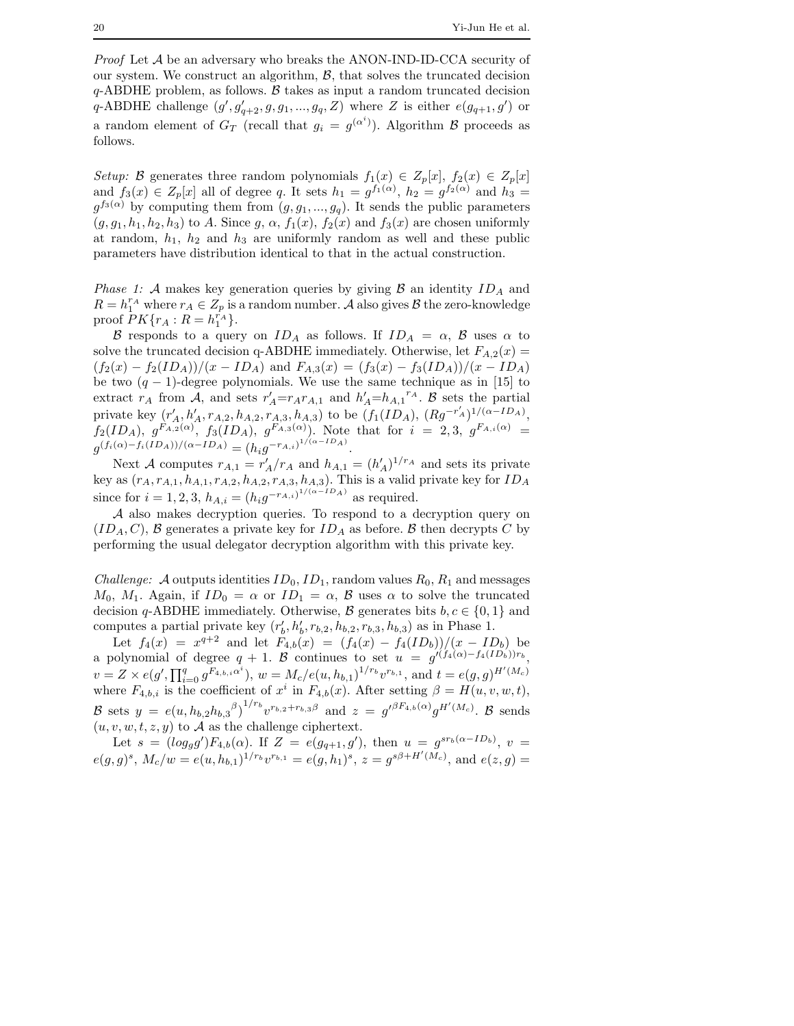*Proof* Let A be an adversary who breaks the ANON-IND-ID-CCA security of our system. We construct an algorithm,  $\mathcal{B}$ , that solves the truncated decision  $q$ -ABDHE problem, as follows.  $\beta$  takes as input a random truncated decision q-ABDHE challenge  $(g', g'_{q+2}, g, g_1, ..., g_q, Z)$  where Z is either  $e(g_{q+1}, g')$  or a random element of  $G_T$  (recall that  $g_i = g^{(\alpha^i)}$ ). Algorithm  $\beta$  proceeds as follows.

*Setup:* B generates three random polynomials  $f_1(x) \in Z_p[x]$ ,  $f_2(x) \in Z_p[x]$ and  $f_3(x) \in Z_p[x]$  all of degree q. It sets  $h_1 = g^{f_1(\alpha)}$ ,  $h_2 = g^{f_2(\alpha)}$  and  $h_3 =$  $g^{f_3(\alpha)}$  by computing them from  $(g, g_1, ..., g_q)$ . It sends the public parameters  $(g, g_1, h_1, h_2, h_3)$  to A. Since  $g, \alpha, f_1(x), f_2(x)$  and  $f_3(x)$  are chosen uniformly at random,  $h_1$ ,  $h_2$  and  $h_3$  are uniformly random as well and these public parameters have distribution identical to that in the actual construction.

*Phase 1:* A makes key generation queries by giving  $\beta$  an identity  $ID_A$  and  $R = h_1^{r_A}$  where  $r_A \in Z_p$  is a random number. A also gives  $\mathcal B$  the zero-knowledge proof  $PK\{r_A: R=h_1^{r_A}\}.$ 

B responds to a query on  $ID_A$  as follows. If  $ID_A = \alpha$ , B uses  $\alpha$  to solve the truncated decision q-ABDHE immediately. Otherwise, let  $F_{A,2}(x)$  =  $(f_2(x) - f_2(ID_A))/(x - ID_A)$  and  $F_{A,3}(x) = (f_3(x) - f_3(ID_A))/(x - ID_A)$ be two  $(q - 1)$ -degree polynomials. We use the same technique as in [15] to extract  $r_A$  from A, and sets  $r'_A=r_Ar_{A,1}$  and  $h'_A=h_{A,1}r_A$ . B sets the partial private key  $(r'_A, h'_A, r_{A,2}, h_{A,2}, r_{A,3}, h_{A,3})$  to be  $(f_1(ID_A), (Rg^{-r'_A})^{1/(\alpha-ID_A)},$  $f_2(ID_A),\;g^{F_{A,2}(\alpha)},\;f_3(ID_A),\;g^{F_{A,3}(\alpha)}).$  Note that for  $i\;=\;2,3,\;g^{F_{A,i}(\alpha)}\;=\;$  $g^{(f_i(\alpha)-f_i(ID_A))/( \alpha-ID_A)}=(h_ig^{-r_{A,i})^{1/(\alpha-ID_A)}}.$ 

Next A computes  $r_{A,1} = r'_A/r_A$  and  $h_{A,1} = (h'_A)^{1/r_A}$  and sets its private key as  $(r_A, r_{A,1}, h_{A,1}, r_{A,2}, h_{A,2}, r_{A,3}, h_{A,3})$ . This is a valid private key for  $ID_A$ since for  $i = 1, 2, 3, h_{A,i} = (h_i g^{-r_{A,i}})^{1/(\alpha - ID_A)}$  as required.

A also makes decryption queries. To respond to a decryption query on  $(ID<sub>A</sub>, C)$ , B generates a private key for  $ID<sub>A</sub>$  as before. B then decrypts C by performing the usual delegator decryption algorithm with this private key.

*Challenge:* A outputs identities  $ID_0$ ,  $ID_1$ , random values  $R_0$ ,  $R_1$  and messages  $M_0$ ,  $M_1$ . Again, if  $ID_0 = \alpha$  or  $ID_1 = \alpha$ ,  $\beta$  uses  $\alpha$  to solve the truncated decision q-ABDHE immediately. Otherwise,  $\mathcal{B}$  generates bits  $b, c \in \{0, 1\}$  and computes a partial private key  $(r_b', h_b', r_{b,2}, h_{b,2}, r_{b,3}, h_{b,3})$  as in Phase 1.

Let  $f_4(x) = x^{q+2}$  and let  $F_{4,b}(x) = (f_4(x) - f_4(ID_b))/(x - ID_b)$  be a polynomial of degree  $q + 1$ . B continues to set  $u = g'(f_4(\alpha) - f_4(ID_b))r_b$ ,  $v = Z \times e(g', \prod_{i=0}^q g^{F_{4,b,i}\alpha^i}), w = M_c/e(u, h_{b,1})^{1/r_b} v^{r_{b,1}}, \text{ and } t = e(g,g)^{H'(M_c)}$ where  $F_{4,b,i}$  is the coefficient of  $x^i$  in  $F_{4,b}(x)$ . After setting  $\beta = H(u, v, w, t)$ , B sets  $y = e(u, h_{b,2}h_{b,3}{}^{\beta})^{1/r_b}v^{r_{b,2}+r_{b,3}\beta}$  and  $z = g'^{\beta F_{4,b}(\alpha)}g^{H'(M_c)}$ . B sends  $(u, v, w, t, z, y)$  to A as the challenge ciphertext.

Let  $s = (log_g g')F_{4,b}(\alpha)$ . If  $Z = e(g_{q+1}, g')$ , then  $u = g^{sr_b(\alpha - ID_b)}$ ,  $v =$  $e(g,g)^s$ ,  $M_c/w = e(u, h_{b,1})^{1/r_b}v^{r_{b,1}} = e(g, h_1)^s$ ,  $z = g^{s\beta + H'(M_c)}$ , and  $e(z, g) =$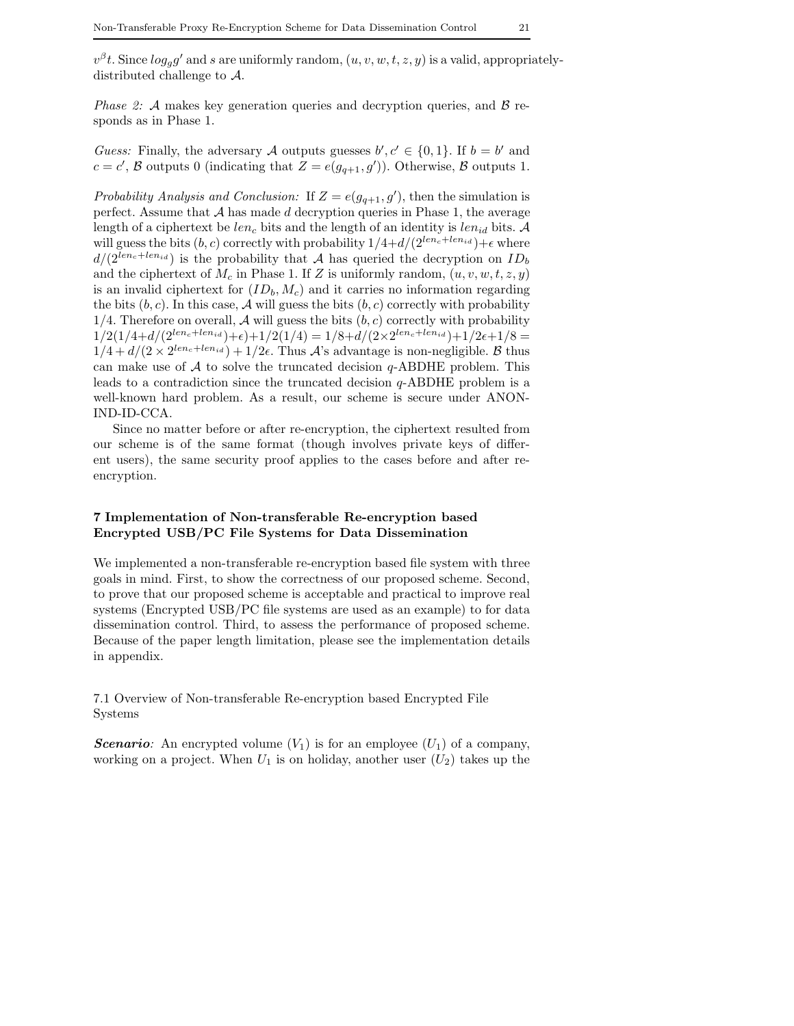$v^{\beta}t$ . Since  $log_g g'$  and s are uniformly random,  $(u, v, w, t, z, y)$  is a valid, appropriatelydistributed challenge to A.

*Phase 2:* A makes key generation queries and decryption queries, and B responds as in Phase 1.

*Guess:* Finally, the adversary A outputs guesses  $b', c' \in \{0, 1\}$ . If  $b = b'$  and  $c = c'$ , B outputs 0 (indicating that  $Z = e(g_{q+1}, g')$ ). Otherwise, B outputs 1.

*Probability Analysis and Conclusion:* If  $Z = e(g_{q+1}, g')$ , then the simulation is perfect. Assume that  $A$  has made  $d$  decryption queries in Phase 1, the average length of a ciphertext be  $len_c$  bits and the length of an identity is  $len_{id}$  bits. A will guess the bits  $(b, c)$  correctly with probability  $1/4+d/(2^{len_c+len_{id}})+\epsilon$  where  $d/(2^{len_c+len_{id}})$  is the probability that A has queried the decryption on  $ID_b$ and the ciphertext of  $M_c$  in Phase 1. If Z is uniformly random,  $(u, v, w, t, z, y)$ is an invalid ciphertext for  $(ID_b, M_c)$  and it carries no information regarding the bits  $(b, c)$ . In this case, A will guess the bits  $(b, c)$  correctly with probability 1/4. Therefore on overall, A will guess the bits  $(b, c)$  correctly with probability  $1/2(1/4+d/(2^{len_c+len_{id}})+\epsilon)+1/2(1/4)=1/8+d/(2\times 2^{len_c+len_{id}})+1/2\epsilon+1/8=$  $1/4 + d/(2 \times 2^{len_c + len_{id}}) + 1/2\epsilon$ . Thus A's advantage is non-negligible. B thus can make use of  $A$  to solve the truncated decision  $q$ -ABDHE problem. This leads to a contradiction since the truncated decision q-ABDHE problem is a well-known hard problem. As a result, our scheme is secure under ANON-IND-ID-CCA.

Since no matter before or after re-encryption, the ciphertext resulted from our scheme is of the same format (though involves private keys of different users), the same security proof applies to the cases before and after reencryption.

# **7 Implementation of Non-transferable Re-encryption based Encrypted USB/PC File Systems for Data Dissemination**

We implemented a non-transferable re-encryption based file system with three goals in mind. First, to show the correctness of our proposed scheme. Second, to prove that our proposed scheme is acceptable and practical to improve real systems (Encrypted USB/PC file systems are used as an example) to for data dissemination control. Third, to assess the performance of proposed scheme. Because of the paper length limitation, please see the implementation details in appendix.

7.1 Overview of Non-transferable Re-encryption based Encrypted File Systems

*Scenario*: An encrypted volume  $(V_1)$  is for an employee  $(U_1)$  of a company, working on a project. When  $U_1$  is on holiday, another user  $(U_2)$  takes up the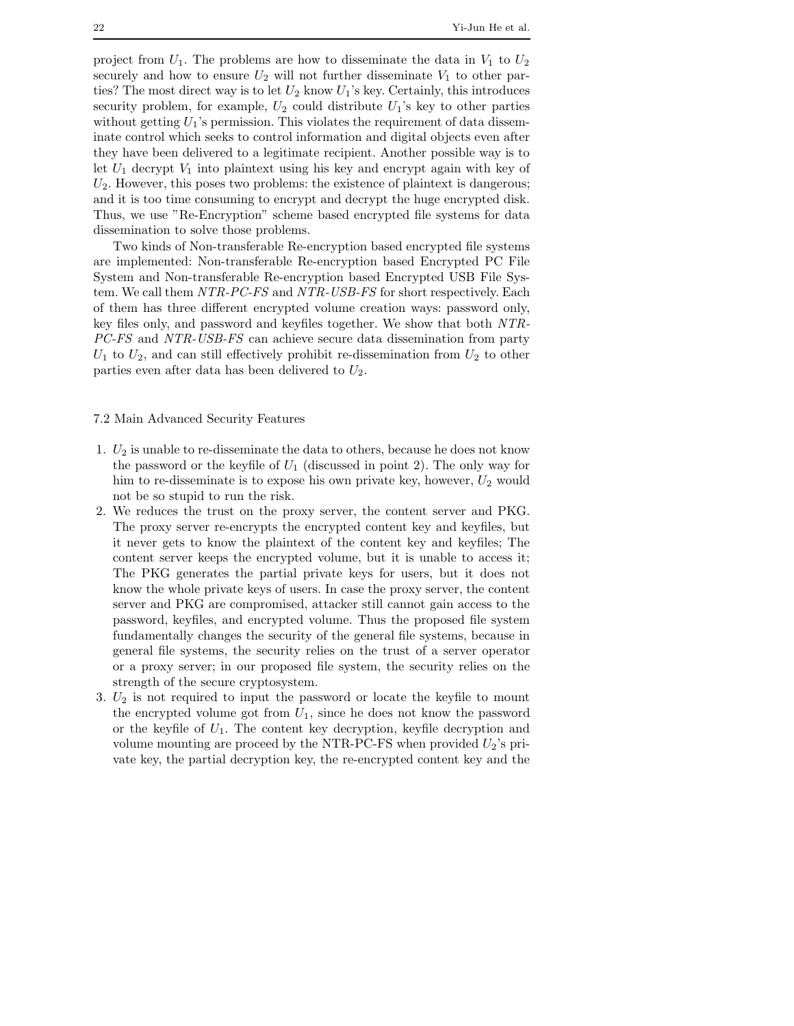project from  $U_1$ . The problems are how to disseminate the data in  $V_1$  to  $U_2$ securely and how to ensure  $U_2$  will not further disseminate  $V_1$  to other parties? The most direct way is to let  $U_2$  know  $U_1$ 's key. Certainly, this introduces security problem, for example,  $U_2$  could distribute  $U_1$ 's key to other parties without getting  $U_1$ 's permission. This violates the requirement of data disseminate control which seeks to control information and digital objects even after they have been delivered to a legitimate recipient. Another possible way is to let  $U_1$  decrypt  $V_1$  into plaintext using his key and encrypt again with key of  $U_2$ . However, this poses two problems: the existence of plaintext is dangerous; and it is too time consuming to encrypt and decrypt the huge encrypted disk. Thus, we use "Re-Encryption" scheme based encrypted file systems for data dissemination to solve those problems.

Two kinds of Non-transferable Re-encryption based encrypted file systems are implemented: Non-transferable Re-encryption based Encrypted PC File System and Non-transferable Re-encryption based Encrypted USB File System. We call them *NTR-PC-FS* and *NTR-USB-FS* for short respectively. Each of them has three different encrypted volume creation ways: password only, key files only, and password and keyfiles together. We show that both *NTR-PC-FS* and *NTR-USB-FS* can achieve secure data dissemination from party  $U_1$  to  $U_2$ , and can still effectively prohibit re-dissemination from  $U_2$  to other parties even after data has been delivered to  $U_2$ .

## 7.2 Main Advanced Security Features

- 1.  $U_2$  is unable to re-disseminate the data to others, because he does not know the password or the keyfile of  $U_1$  (discussed in point 2). The only way for him to re-disseminate is to expose his own private key, however,  $U_2$  would not be so stupid to run the risk.
- 2. We reduces the trust on the proxy server, the content server and PKG. The proxy server re-encrypts the encrypted content key and keyfiles, but it never gets to know the plaintext of the content key and keyfiles; The content server keeps the encrypted volume, but it is unable to access it; The PKG generates the partial private keys for users, but it does not know the whole private keys of users. In case the proxy server, the content server and PKG are compromised, attacker still cannot gain access to the password, keyfiles, and encrypted volume. Thus the proposed file system fundamentally changes the security of the general file systems, because in general file systems, the security relies on the trust of a server operator or a proxy server; in our proposed file system, the security relies on the strength of the secure cryptosystem.
- 3.  $U_2$  is not required to input the password or locate the keyfile to mount the encrypted volume got from  $U_1$ , since he does not know the password or the keyfile of  $U_1$ . The content key decryption, keyfile decryption and volume mounting are proceed by the NTR-PC-FS when provided  $U_2$ 's private key, the partial decryption key, the re-encrypted content key and the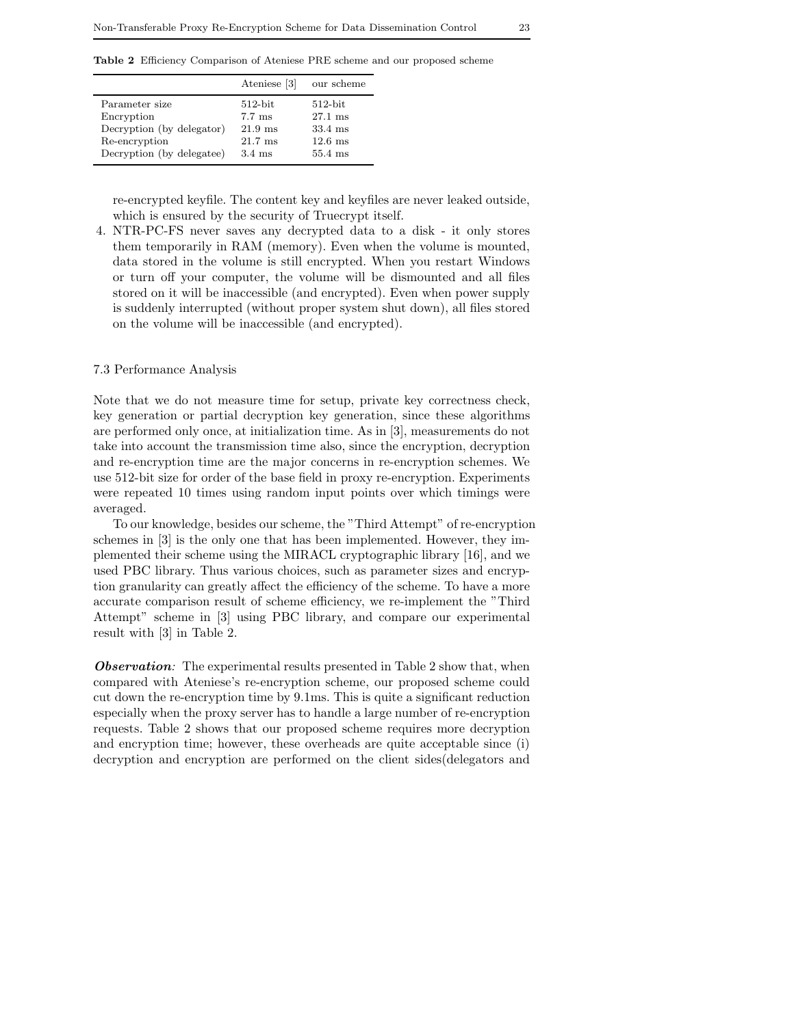**Table 2** Efficiency Comparison of Ateniese PRE scheme and our proposed scheme

|                           | Ateniese [3]      | our scheme        |
|---------------------------|-------------------|-------------------|
| Parameter size            | $512$ -bit        | $512$ -bit        |
| Encryption                | $7.7 \text{ ms}$  | $27.1 \text{ ms}$ |
| Decryption (by delegator) | $21.9$ ms         | $33.4 \text{ ms}$ |
| Re-encryption             | $21.7 \text{ ms}$ | $12.6 \text{ ms}$ |
| Decryption (by delegatee) | $3.4 \text{ ms}$  | $55.4$ ms         |

re-encrypted keyfile. The content key and keyfiles are never leaked outside, which is ensured by the security of Truecrypt itself.

4. NTR-PC-FS never saves any decrypted data to a disk - it only stores them temporarily in RAM (memory). Even when the volume is mounted, data stored in the volume is still encrypted. When you restart Windows or turn off your computer, the volume will be dismounted and all files stored on it will be inaccessible (and encrypted). Even when power supply is suddenly interrupted (without proper system shut down), all files stored on the volume will be inaccessible (and encrypted).

### 7.3 Performance Analysis

Note that we do not measure time for setup, private key correctness check, key generation or partial decryption key generation, since these algorithms are performed only once, at initialization time. As in [3], measurements do not take into account the transmission time also, since the encryption, decryption and re-encryption time are the major concerns in re-encryption schemes. We use 512-bit size for order of the base field in proxy re-encryption. Experiments were repeated 10 times using random input points over which timings were averaged.

To our knowledge, besides our scheme, the "Third Attempt" of re-encryption schemes in [3] is the only one that has been implemented. However, they implemented their scheme using the MIRACL cryptographic library [16], and we used PBC library. Thus various choices, such as parameter sizes and encryption granularity can greatly affect the efficiency of the scheme. To have a more accurate comparison result of scheme efficiency, we re-implement the "Third Attempt" scheme in [3] using PBC library, and compare our experimental result with [3] in Table 2.

*Observation:* The experimental results presented in Table 2 show that, when compared with Ateniese's re-encryption scheme, our proposed scheme could cut down the re-encryption time by 9.1ms. This is quite a significant reduction especially when the proxy server has to handle a large number of re-encryption requests. Table 2 shows that our proposed scheme requires more decryption and encryption time; however, these overheads are quite acceptable since (i) decryption and encryption are performed on the client sides(delegators and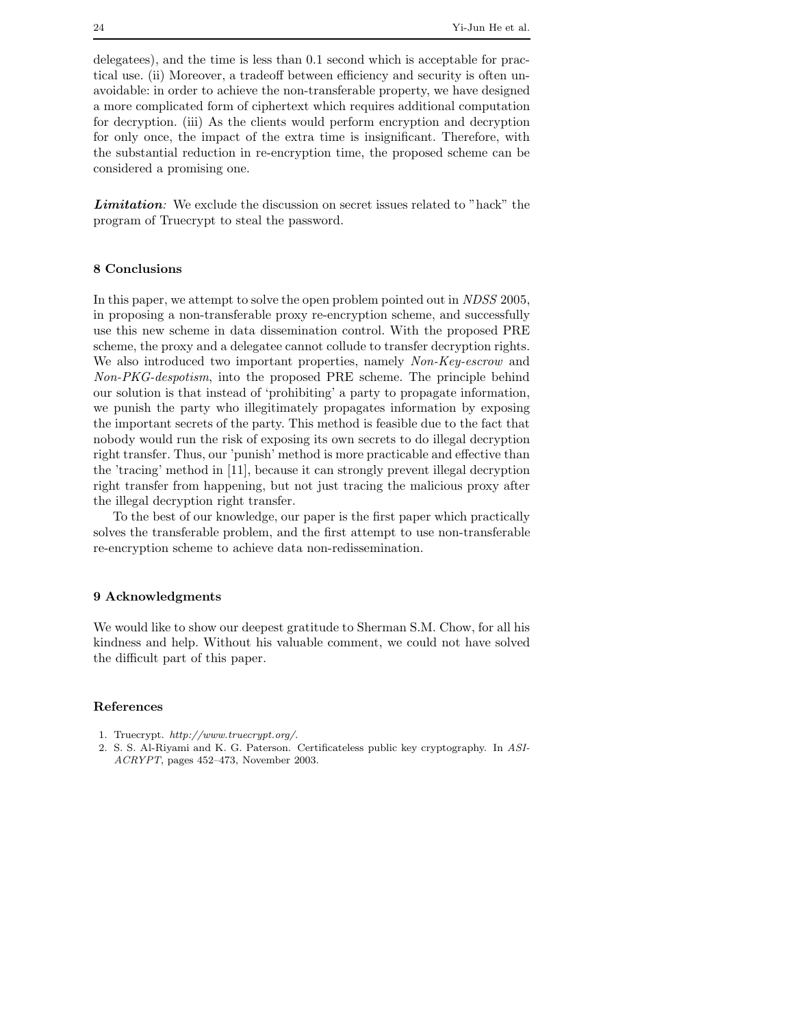delegatees), and the time is less than 0.1 second which is acceptable for practical use. (ii) Moreover, a tradeoff between efficiency and security is often unavoidable: in order to achieve the non-transferable property, we have designed a more complicated form of ciphertext which requires additional computation for decryption. (iii) As the clients would perform encryption and decryption for only once, the impact of the extra time is insignificant. Therefore, with the substantial reduction in re-encryption time, the proposed scheme can be considered a promising one.

*Limitation:* We exclude the discussion on secret issues related to "hack" the program of Truecrypt to steal the password.

# **8 Conclusions**

In this paper, we attempt to solve the open problem pointed out in *NDSS* 2005, in proposing a non-transferable proxy re-encryption scheme, and successfully use this new scheme in data dissemination control. With the proposed PRE scheme, the proxy and a delegatee cannot collude to transfer decryption rights. We also introduced two important properties, namely *Non-Key-escrow* and *Non-PKG-despotism*, into the proposed PRE scheme. The principle behind our solution is that instead of 'prohibiting' a party to propagate information, we punish the party who illegitimately propagates information by exposing the important secrets of the party. This method is feasible due to the fact that nobody would run the risk of exposing its own secrets to do illegal decryption right transfer. Thus, our 'punish' method is more practicable and effective than the 'tracing' method in [11], because it can strongly prevent illegal decryption right transfer from happening, but not just tracing the malicious proxy after the illegal decryption right transfer.

To the best of our knowledge, our paper is the first paper which practically solves the transferable problem, and the first attempt to use non-transferable re-encryption scheme to achieve data non-redissemination.

## **9 Acknowledgments**

We would like to show our deepest gratitude to Sherman S.M. Chow, for all his kindness and help. Without his valuable comment, we could not have solved the difficult part of this paper.

#### **References**

- 1. Truecrypt. *http://www.truecrypt.org/*.
- 2. S. S. Al-Riyami and K. G. Paterson. Certificateless public key cryptography. In *ASI-ACRYPT*, pages 452–473, November 2003.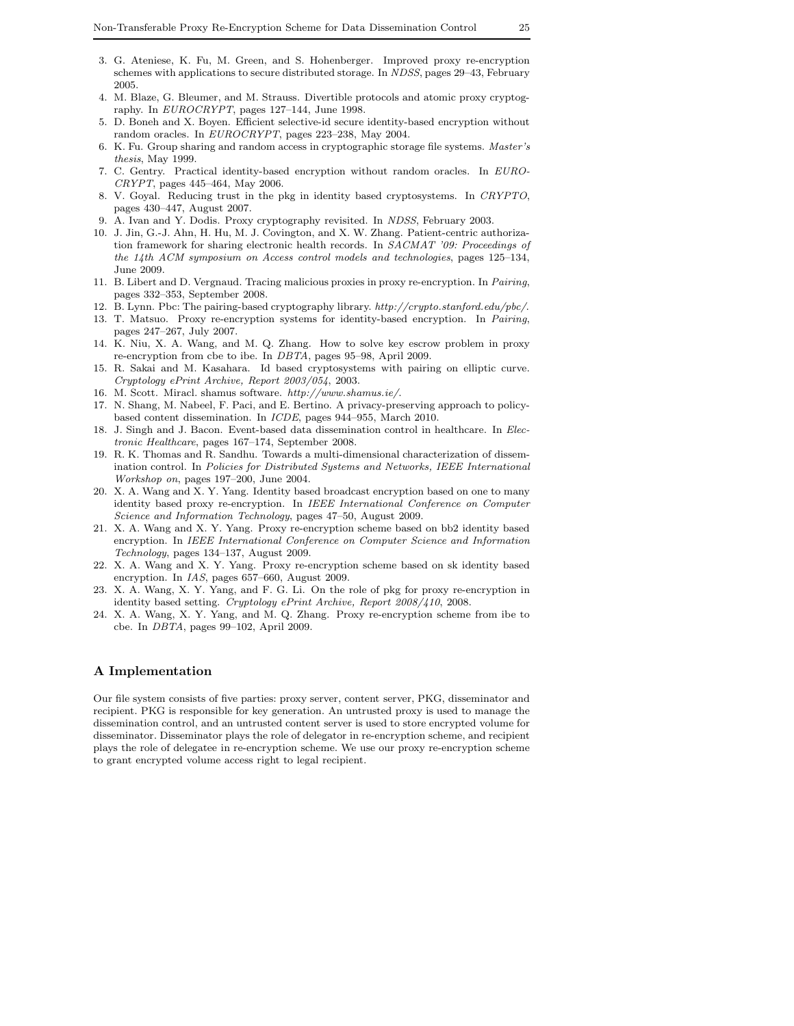- 3. G. Ateniese, K. Fu, M. Green, and S. Hohenberger. Improved proxy re-encryption schemes with applications to secure distributed storage. In *NDSS*, pages 29–43, February 2005.
- 4. M. Blaze, G. Bleumer, and M. Strauss. Divertible protocols and atomic proxy cryptography. In *EUROCRYPT*, pages 127–144, June 1998.
- 5. D. Boneh and X. Boyen. Efficient selective-id secure identity-based encryption without random oracles. In *EUROCRYPT*, pages 223–238, May 2004.
- 6. K. Fu. Group sharing and random access in cryptographic storage file systems. *Master's thesis*, May 1999.
- 7. C. Gentry. Practical identity-based encryption without random oracles. In *EURO-CRYPT*, pages 445–464, May 2006.
- 8. V. Goyal. Reducing trust in the pkg in identity based cryptosystems. In *CRYPTO*, pages 430–447, August 2007.
- 9. A. Ivan and Y. Dodis. Proxy cryptography revisited. In *NDSS*, February 2003.
- 10. J. Jin, G.-J. Ahn, H. Hu, M. J. Covington, and X. W. Zhang. Patient-centric authorization framework for sharing electronic health records. In *SACMAT '09: Proceedings of the 14th ACM symposium on Access control models and technologies*, pages 125–134, June 2009.
- 11. B. Libert and D. Vergnaud. Tracing malicious proxies in proxy re-encryption. In *Pairing*, pages 332–353, September 2008.
- 12. B. Lynn. Pbc: The pairing-based cryptography library. *http://crypto.stanford.edu/pbc/*.
- 13. T. Matsuo. Proxy re-encryption systems for identity-based encryption. In *Pairing*, pages 247–267, July 2007.
- 14. K. Niu, X. A. Wang, and M. Q. Zhang. How to solve key escrow problem in proxy re-encryption from cbe to ibe. In *DBTA*, pages 95–98, April 2009.
- 15. R. Sakai and M. Kasahara. Id based cryptosystems with pairing on elliptic curve. *Cryptology ePrint Archive, Report 2003/054*, 2003.
- 16. M. Scott. Miracl. shamus software. *http://www.shamus.ie/*.
- 17. N. Shang, M. Nabeel, F. Paci, and E. Bertino. A privacy-preserving approach to policybased content dissemination. In *ICDE*, pages 944–955, March 2010.
- 18. J. Singh and J. Bacon. Event-based data dissemination control in healthcare. In *Electronic Healthcare*, pages 167–174, September 2008.
- 19. R. K. Thomas and R. Sandhu. Towards a multi-dimensional characterization of dissemination control. In *Policies for Distributed Systems and Networks, IEEE International Workshop on*, pages 197–200, June 2004.
- 20. X. A. Wang and X. Y. Yang. Identity based broadcast encryption based on one to many identity based proxy re-encryption. In *IEEE International Conference on Computer Science and Information Technology*, pages 47–50, August 2009.
- 21. X. A. Wang and X. Y. Yang. Proxy re-encryption scheme based on bb2 identity based encryption. In *IEEE International Conference on Computer Science and Information Technology*, pages 134–137, August 2009.
- 22. X. A. Wang and X. Y. Yang. Proxy re-encryption scheme based on sk identity based encryption. In *IAS*, pages 657–660, August 2009.
- 23. X. A. Wang, X. Y. Yang, and F. G. Li. On the role of pkg for proxy re-encryption in identity based setting. *Cryptology ePrint Archive, Report 2008/410*, 2008.
- 24. X. A. Wang, X. Y. Yang, and M. Q. Zhang. Proxy re-encryption scheme from ibe to cbe. In *DBTA*, pages 99–102, April 2009.

# **A Implementation**

Our file system consists of five parties: proxy server, content server, PKG, disseminator and recipient. PKG is responsible for key generation. An untrusted proxy is used to manage the dissemination control, and an untrusted content server is used to store encrypted volume for disseminator. Disseminator plays the role of delegator in re-encryption scheme, and recipient plays the role of delegatee in re-encryption scheme. We use our proxy re-encryption scheme to grant encrypted volume access right to legal recipient.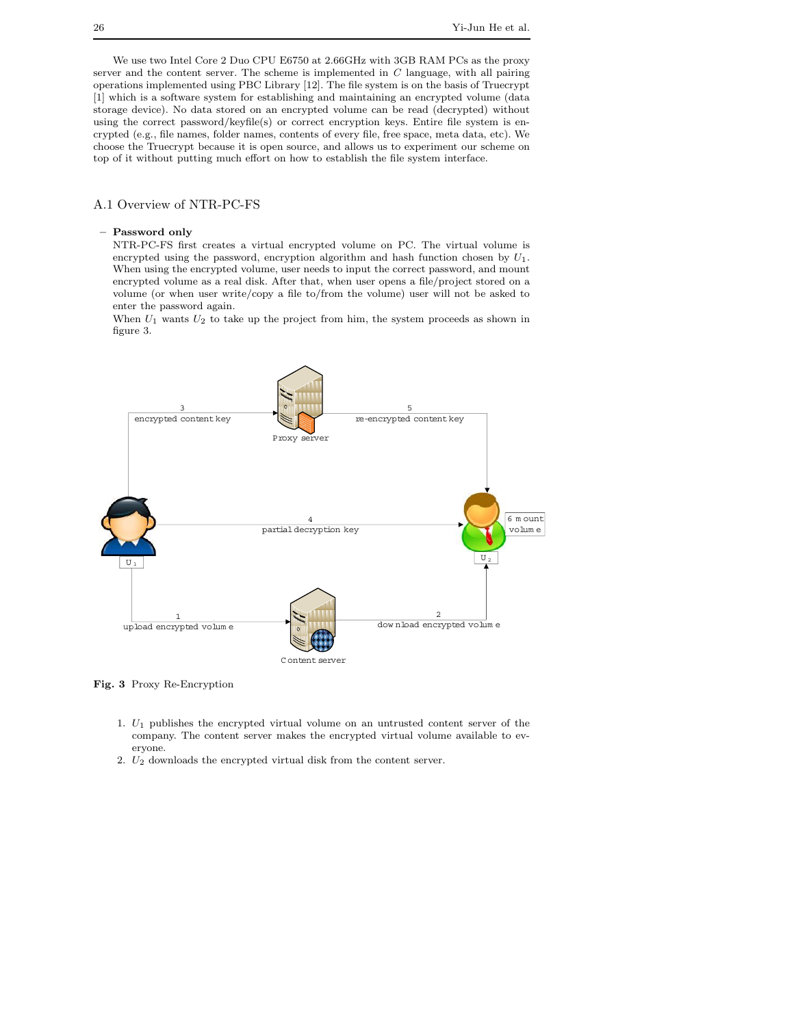We use two Intel Core 2 Duo CPU E6750 at 2.66GHz with 3GB RAM PCs as the proxy server and the content server. The scheme is implemented in *C* language, with all pairing operations implemented using PBC Library [12]. The file system is on the basis of Truecrypt [1] which is a software system for establishing and maintaining an encrypted volume (data storage device). No data stored on an encrypted volume can be read (decrypted) without using the correct password/keyfile(s) or correct encryption keys. Entire file system is encrypted (e.g., file names, folder names, contents of every file, free space, meta data, etc). We choose the Truecrypt because it is open source, and allows us to experiment our scheme on top of it without putting much effort on how to establish the file system interface.

#### A.1 Overview of NTR-PC-FS

#### **– Password only**

NTR-PC-FS first creates a virtual encrypted volume on PC. The virtual volume is encrypted using the password, encryption algorithm and hash function chosen by *U*1. When using the encrypted volume, user needs to input the correct password, and mount encrypted volume as a real disk. After that, when user opens a file/project stored on a volume (or when user write/copy a file to/from the volume) user will not be asked to enter the password again.

When *U*<sup>1</sup> wants *U*<sup>2</sup> to take up the project from him, the system proceeds as shown in figure 3.



**Fig. 3** Proxy Re-Encryption

- 1. *U*<sup>1</sup> publishes the encrypted virtual volume on an untrusted content server of the company. The content server makes the encrypted virtual volume available to everyone.
- 2. *U*<sup>2</sup> downloads the encrypted virtual disk from the content server.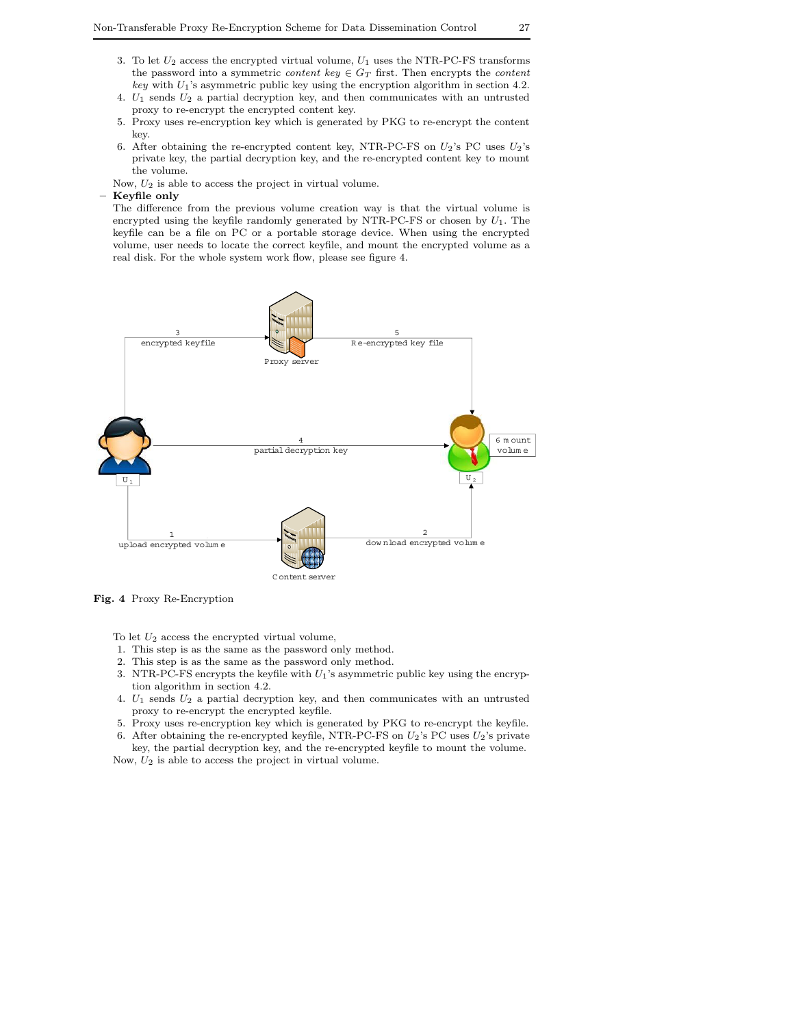- 3. To let *U*<sup>2</sup> access the encrypted virtual volume, *U*<sup>1</sup> uses the NTR-PC-FS transforms the password into a symmetric *content key*  $\in G_T$  first. Then encrypts the *content key* with *U*1's asymmetric public key using the encryption algorithm in section 4.2.
- 4. *U*<sup>1</sup> sends *U*<sup>2</sup> a partial decryption key, and then communicates with an untrusted proxy to re-encrypt the encrypted content key.
- 5. Proxy uses re-encryption key which is generated by PKG to re-encrypt the content key.
- 6. After obtaining the re-encrypted content key, NTR-PC-FS on  $U_2$ 's PC uses  $U_2$ 's private key, the partial decryption key, and the re-encrypted content key to mount the volume.

Now, *U*<sup>2</sup> is able to access the project in virtual volume.

**– Keyfile only**

The difference from the previous volume creation way is that the virtual volume is encrypted using the keyfile randomly generated by NTR-PC-FS or chosen by *U*1. The keyfile can be a file on PC or a portable storage device. When using the encrypted volume, user needs to locate the correct keyfile, and mount the encrypted volume as a real disk. For the whole system work flow, please see figure 4.



**Fig. 4** Proxy Re-Encryption

To let *U*<sup>2</sup> access the encrypted virtual volume,

- 1. This step is as the same as the password only method.
- 2. This step is as the same as the password only method.
- 3. NTR-PC-FS encrypts the keyfile with *U*1's asymmetric public key using the encryption algorithm in section 4.2.
- 4. *U*<sup>1</sup> sends *U*<sup>2</sup> a partial decryption key, and then communicates with an untrusted proxy to re-encrypt the encrypted keyfile.
- 5. Proxy uses re-encryption key which is generated by PKG to re-encrypt the keyfile. 6. After obtaining the re-encrypted keyfile, NTR-PC-FS on  $U_2$ 's PC uses  $U_2$ 's private
- key, the partial decryption key, and the re-encrypted keyfile to mount the volume.

Now, *U*<sup>2</sup> is able to access the project in virtual volume.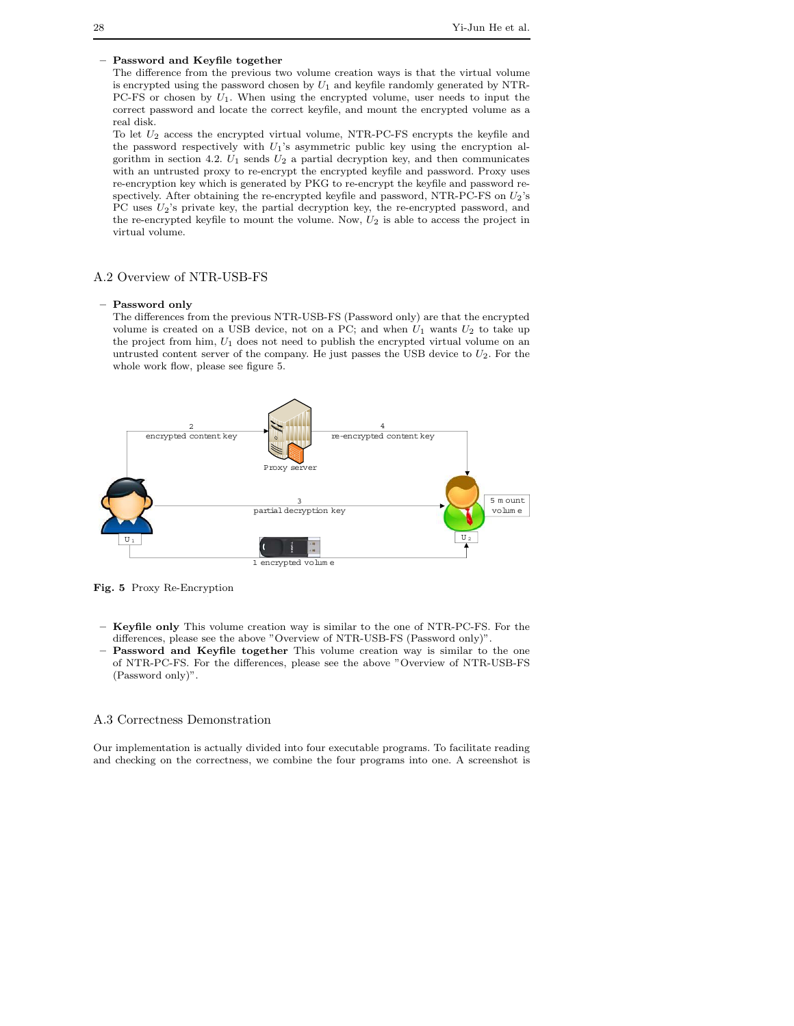#### **– Password and Keyfile together**

The difference from the previous two volume creation ways is that the virtual volume is encrypted using the password chosen by *U*<sup>1</sup> and keyfile randomly generated by NTR-PC-FS or chosen by *U*1. When using the encrypted volume, user needs to input the correct password and locate the correct keyfile, and mount the encrypted volume as a real disk.

To let *U*<sup>2</sup> access the encrypted virtual volume, NTR-PC-FS encrypts the keyfile and the password respectively with *U*1's asymmetric public key using the encryption algorithm in section 4.2.  $U_1$  sends  $U_2$  a partial decryption key, and then communicates with an untrusted proxy to re-encrypt the encrypted keyfile and password. Proxy uses re-encryption key which is generated by PKG to re-encrypt the keyfile and password respectively. After obtaining the re-encrypted keyfile and password, NTR-PC-FS on *U*2's PC uses  $U_2$ 's private key, the partial decryption key, the re-encrypted password, and the re-encrypted keyfile to mount the volume. Now, *U*<sup>2</sup> is able to access the project in virtual volume.

#### A.2 Overview of NTR-USB-FS

#### **– Password only**

The differences from the previous NTR-USB-FS (Password only) are that the encrypted volume is created on a USB device, not on a PC; and when  $U_1$  wants  $U_2$  to take up the project from him, *U*<sup>1</sup> does not need to publish the encrypted virtual volume on an untrusted content server of the company. He just passes the USB device to *U*2. For the whole work flow, please see figure 5.



**Fig. 5** Proxy Re-Encryption

- **Keyfile only** This volume creation way is similar to the one of NTR-PC-FS. For the differences, please see the above "Overview of NTR-USB-FS (Password only)".
- **Password and Keyfile together** This volume creation way is similar to the one of NTR-PC-FS. For the differences, please see the above "Overview of NTR-USB-FS (Password only)".

#### A.3 Correctness Demonstration

Our implementation is actually divided into four executable programs. To facilitate reading and checking on the correctness, we combine the four programs into one. A screenshot is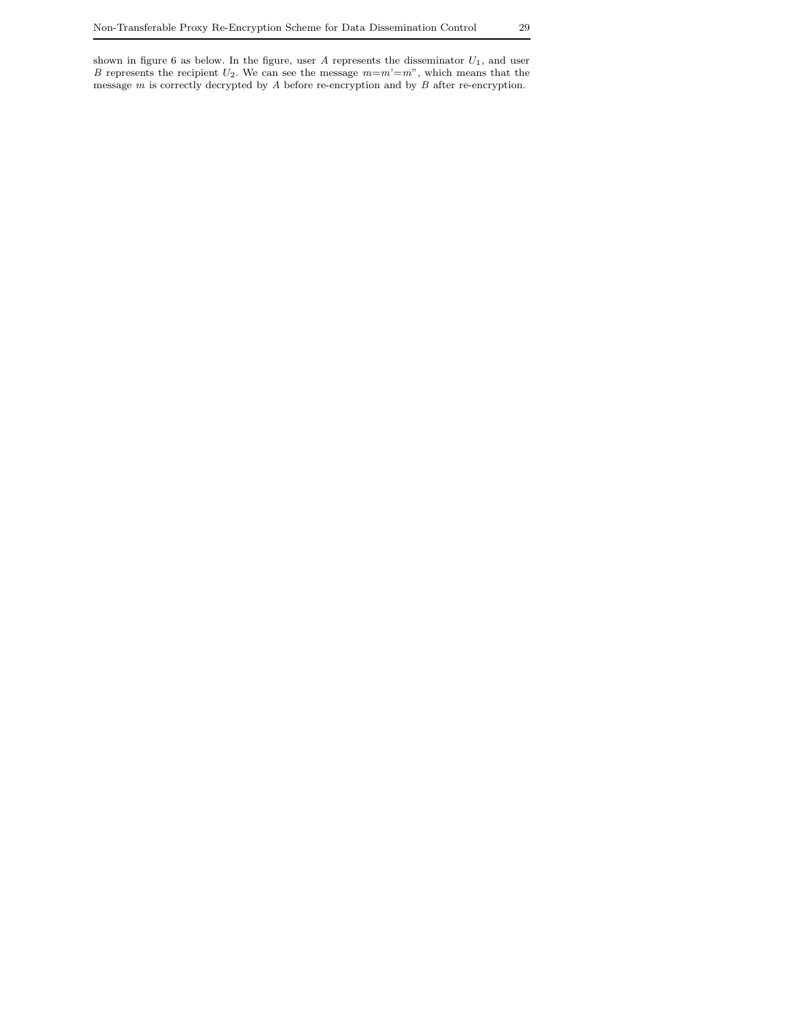shown in figure 6 as below. In the figure, user *A* represents the disseminator *U*1, and user *B* represents the recipient  $U_2$ . We can see the message  $m=m'=m$ ", which means that the message  $m$  is correctly decrypted by  $A$  before re-encryption and by  $B$  after re-encryption.